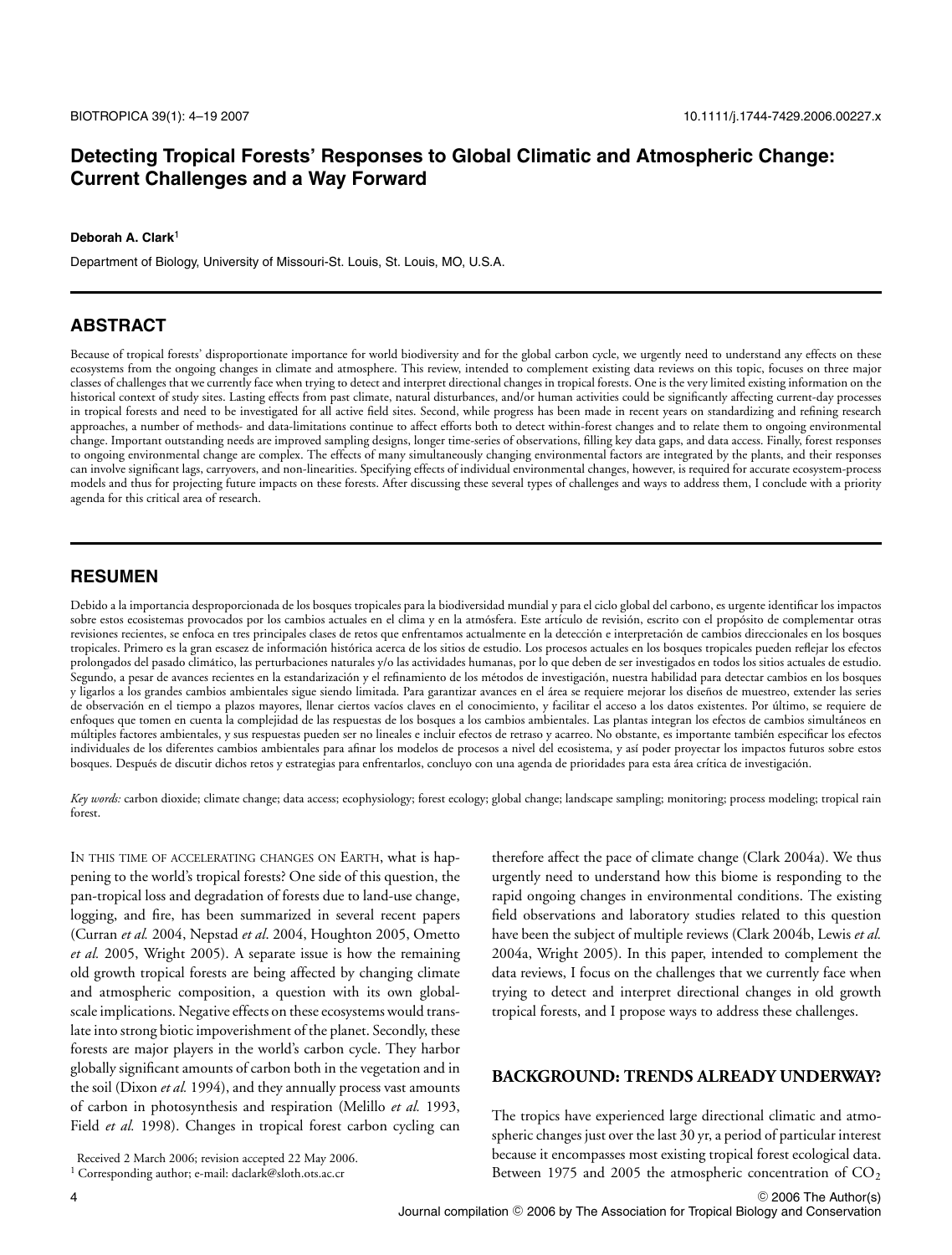# **Detecting Tropical Forests' Responses to Global Climatic and Atmospheric Change: Current Challenges and a Way Forward**

### **Deborah A. Clark**<sup>1</sup>

Department of Biology, University of Missouri-St. Louis, St. Louis, MO, U.S.A.

# **ABSTRACT**

Because of tropical forests' disproportionate importance for world biodiversity and for the global carbon cycle, we urgently need to understand any effects on these ecosystems from the ongoing changes in climate and atmosphere. This review, intended to complement existing data reviews on this topic, focuses on three major classes of challenges that we currently face when trying to detect and interpret directional changes in tropical forests. One is the very limited existing information on the historical context of study sites. Lasting effects from past climate, natural disturbances, and/or human activities could be significantly affecting current-day processes in tropical forests and need to be investigated for all active field sites. Second, while progress has been made in recent years on standardizing and refining research approaches, a number of methods- and data-limitations continue to affect efforts both to detect within-forest changes and to relate them to ongoing environmental change. Important outstanding needs are improved sampling designs, longer time-series of observations, filling key data gaps, and data access. Finally, forest responses to ongoing environmental change are complex. The effects of many simultaneously changing environmental factors are integrated by the plants, and their responses can involve significant lags, carryovers, and non-linearities. Specifying effects of individual environmental changes, however, is required for accurate ecosystem-process models and thus for projecting future impacts on these forests. After discussing these several types of challenges and ways to address them, I conclude with a priority agenda for this critical area of research.

## **RESUMEN**

Debido a la importancia desproporcionada de los bosques tropicales para la biodiversidad mundial y para el ciclo global del carbono, es urgente identificar los impactos sobre estos ecosistemas provocados por los cambios actuales en el clima y en la atmósfera. Este artículo de revisión, escrito con el propósito de complementar otras revisiones recientes, se enfoca en tres principales clases de retos que enfrentamos actualmente en la detección e interpretación de cambios direccionales en los bosques tropicales. Primero es la gran escasez de información histórica acerca de los sitios de estudio. Los procesos actuales en los bosques tropicales pueden reflejar los efectos prolongados del pasado climatico, las perturbaciones naturales y/o las actividades humanas, por lo que deben de ser investigados en todos los sitios actuales de estudio. ´ Segundo, a pesar de avances recientes en la estandarización y el refinamiento de los métodos de investigación, nuestra habilidad para detectar cambios en los bosques y ligarlos a los grandes cambios ambientales sigue siendo limitada. Para garantizar avances en el área se requiere mejorar los diseños de muestreo, extender las series de observación en el tiempo a plazos mayores, llenar ciertos vacíos claves en el conocimiento, y facilitar el acceso a los datos existentes. Por último, se requiere de enfoques que tomen en cuenta la complejidad de las respuestas de los bosques a los cambios ambientales. Las plantas integran los efectos de cambios simultaneos en ´ múltiples factores ambientales, y sus respuestas pueden ser no lineales e incluir efectos de retraso y acarreo. No obstante, es importante también especificar los efectos individuales de los diferentes cambios ambientales para afinar los modelos de procesos a nivel del ecosistema, y as´ı poder proyectar los impactos futuros sobre estos bosques. Después de discutir dichos retos y estrategias para enfrentarlos, concluyo con una agenda de prioridades para esta área crítica de investigación.

*Key words:* carbon dioxide; climate change; data access; ecophysiology; forest ecology; global change; landscape sampling; monitoring; process modeling; tropical rain forest.

IN THIS TIME OF ACCELERATING CHANGES ON EARTH, what is happening to the world's tropical forests? One side of this question, the pan-tropical loss and degradation of forests due to land-use change, logging, and fire, has been summarized in several recent papers (Curran *et al.* 2004, Nepstad *et al*. 2004, Houghton 2005, Ometto *et al.* 2005, Wright 2005). A separate issue is how the remaining old growth tropical forests are being affected by changing climate and atmospheric composition, a question with its own globalscale implications. Negative effects on these ecosystems would translate into strong biotic impoverishment of the planet. Secondly, these forests are major players in the world's carbon cycle. They harbor globally significant amounts of carbon both in the vegetation and in the soil (Dixon *et al.* 1994), and they annually process vast amounts of carbon in photosynthesis and respiration (Melillo *et al.* 1993, Field *et al.* 1998). Changes in tropical forest carbon cycling can therefore affect the pace of climate change (Clark 2004a). We thus urgently need to understand how this biome is responding to the rapid ongoing changes in environmental conditions. The existing field observations and laboratory studies related to this question have been the subject of multiple reviews (Clark 2004b, Lewis *et al.* 2004a, Wright 2005). In this paper, intended to complement the data reviews, I focus on the challenges that we currently face when trying to detect and interpret directional changes in old growth tropical forests, and I propose ways to address these challenges.

## **BACKGROUND: TRENDS ALREADY UNDERWAY?**

The tropics have experienced large directional climatic and atmospheric changes just over the last 30 yr, a period of particular interest because it encompasses most existing tropical forest ecological data. Between 1975 and 2005 the atmospheric concentration of  $CO<sub>2</sub>$ 

Received 2 March 2006; revision accepted 22 May 2006.

<sup>1</sup> Corresponding author; e-mail: daclark@sloth.ots.ac.cr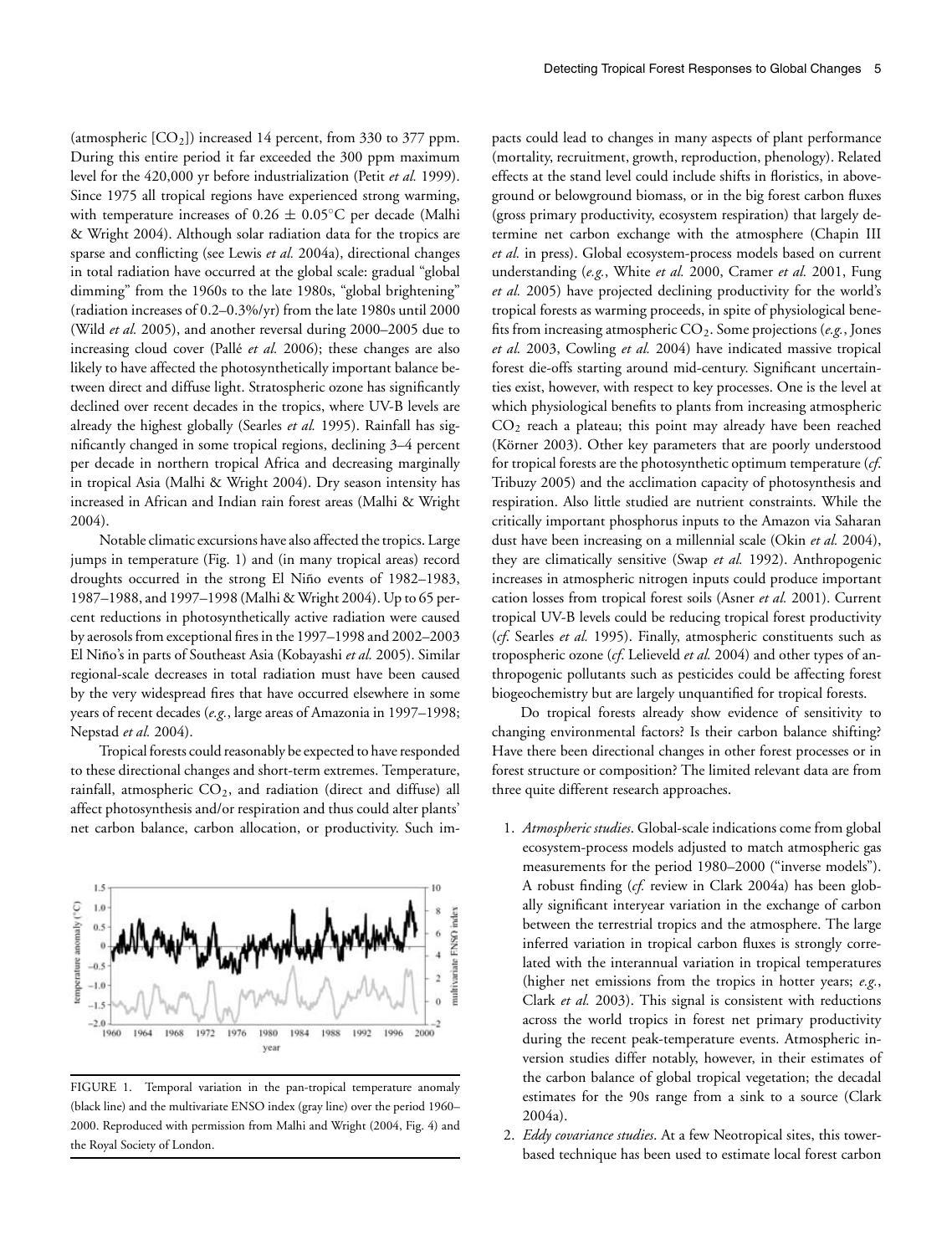(atmospheric  $[CO_2]$ ) increased 14 percent, from 330 to 377 ppm. During this entire period it far exceeded the 300 ppm maximum level for the 420,000 yr before industrialization (Petit *et al.* 1999). Since 1975 all tropical regions have experienced strong warming, with temperature increases of  $0.26 \pm 0.05$ °C per decade (Malhi & Wright 2004). Although solar radiation data for the tropics are sparse and conflicting (see Lewis *et al.* 2004a), directional changes in total radiation have occurred at the global scale: gradual "global dimming" from the 1960s to the late 1980s, "global brightening" (radiation increases of 0.2–0.3%/yr) from the late 1980s until 2000 (Wild *et al.* 2005), and another reversal during 2000–2005 due to increasing cloud cover (Pallé *et al.* 2006); these changes are also likely to have affected the photosynthetically important balance between direct and diffuse light. Stratospheric ozone has significantly declined over recent decades in the tropics, where UV-B levels are already the highest globally (Searles *et al.* 1995). Rainfall has significantly changed in some tropical regions, declining 3–4 percent per decade in northern tropical Africa and decreasing marginally in tropical Asia (Malhi & Wright 2004). Dry season intensity has increased in African and Indian rain forest areas (Malhi & Wright 2004).

Notable climatic excursions have also affected the tropics. Large jumps in temperature (Fig. 1) and (in many tropical areas) record droughts occurred in the strong El Niño events of 1982-1983, 1987–1988, and 1997–1998 (Malhi & Wright 2004). Up to 65 percent reductions in photosynthetically active radiation were caused by aerosols from exceptional fires in the 1997–1998 and 2002–2003 El Niño's in parts of Southeast Asia (Kobayashi et al. 2005). Similar regional-scale decreases in total radiation must have been caused by the very widespread fires that have occurred elsewhere in some years of recent decades (*e.g.*, large areas of Amazonia in 1997–1998; Nepstad *et al.* 2004).

Tropical forests could reasonably be expected to have responded to these directional changes and short-term extremes. Temperature, rainfall, atmospheric  $CO_2$ , and radiation (direct and diffuse) all affect photosynthesis and/or respiration and thus could alter plants' net carbon balance, carbon allocation, or productivity. Such im-



FIGURE 1. Temporal variation in the pan-tropical temperature anomaly (black line) and the multivariate ENSO index (gray line) over the period 1960– 2000. Reproduced with permission from Malhi and Wright (2004, Fig. 4) and the Royal Society of London.

pacts could lead to changes in many aspects of plant performance (mortality, recruitment, growth, reproduction, phenology). Related effects at the stand level could include shifts in floristics, in aboveground or belowground biomass, or in the big forest carbon fluxes (gross primary productivity, ecosystem respiration) that largely determine net carbon exchange with the atmosphere (Chapin III *et al.* in press). Global ecosystem-process models based on current understanding (*e.g.*, White *et al.* 2000, Cramer *et al.* 2001, Fung *et al.* 2005) have projected declining productivity for the world's tropical forests as warming proceeds, in spite of physiological benefits from increasing atmospheric CO2. Some projections (*e.g.*, Jones *et al.* 2003, Cowling *et al.* 2004) have indicated massive tropical forest die-offs starting around mid-century. Significant uncertainties exist, however, with respect to key processes. One is the level at which physiological benefits to plants from increasing atmospheric  $CO<sub>2</sub>$  reach a plateau; this point may already have been reached (Körner 2003). Other key parameters that are poorly understood for tropical forests are the photosynthetic optimum temperature (*cf*. Tribuzy 2005) and the acclimation capacity of photosynthesis and respiration. Also little studied are nutrient constraints. While the critically important phosphorus inputs to the Amazon via Saharan dust have been increasing on a millennial scale (Okin *et al.* 2004), they are climatically sensitive (Swap *et al.* 1992). Anthropogenic increases in atmospheric nitrogen inputs could produce important cation losses from tropical forest soils (Asner *et al.* 2001). Current tropical UV-B levels could be reducing tropical forest productivity (*cf*. Searles *et al.* 1995). Finally, atmospheric constituents such as tropospheric ozone (*cf*. Lelieveld *et al.* 2004) and other types of anthropogenic pollutants such as pesticides could be affecting forest biogeochemistry but are largely unquantified for tropical forests.

Do tropical forests already show evidence of sensitivity to changing environmental factors? Is their carbon balance shifting? Have there been directional changes in other forest processes or in forest structure or composition? The limited relevant data are from three quite different research approaches.

- 1. *Atmospheric studies*. Global-scale indications come from global ecosystem-process models adjusted to match atmospheric gas measurements for the period 1980–2000 ("inverse models"). A robust finding (*cf.* review in Clark 2004a) has been globally significant interyear variation in the exchange of carbon between the terrestrial tropics and the atmosphere. The large inferred variation in tropical carbon fluxes is strongly correlated with the interannual variation in tropical temperatures (higher net emissions from the tropics in hotter years; *e.g.*, Clark *et al.* 2003). This signal is consistent with reductions across the world tropics in forest net primary productivity during the recent peak-temperature events. Atmospheric inversion studies differ notably, however, in their estimates of the carbon balance of global tropical vegetation; the decadal estimates for the 90s range from a sink to a source (Clark 2004a).
- 2. *Eddy covariance studies*. At a few Neotropical sites, this towerbased technique has been used to estimate local forest carbon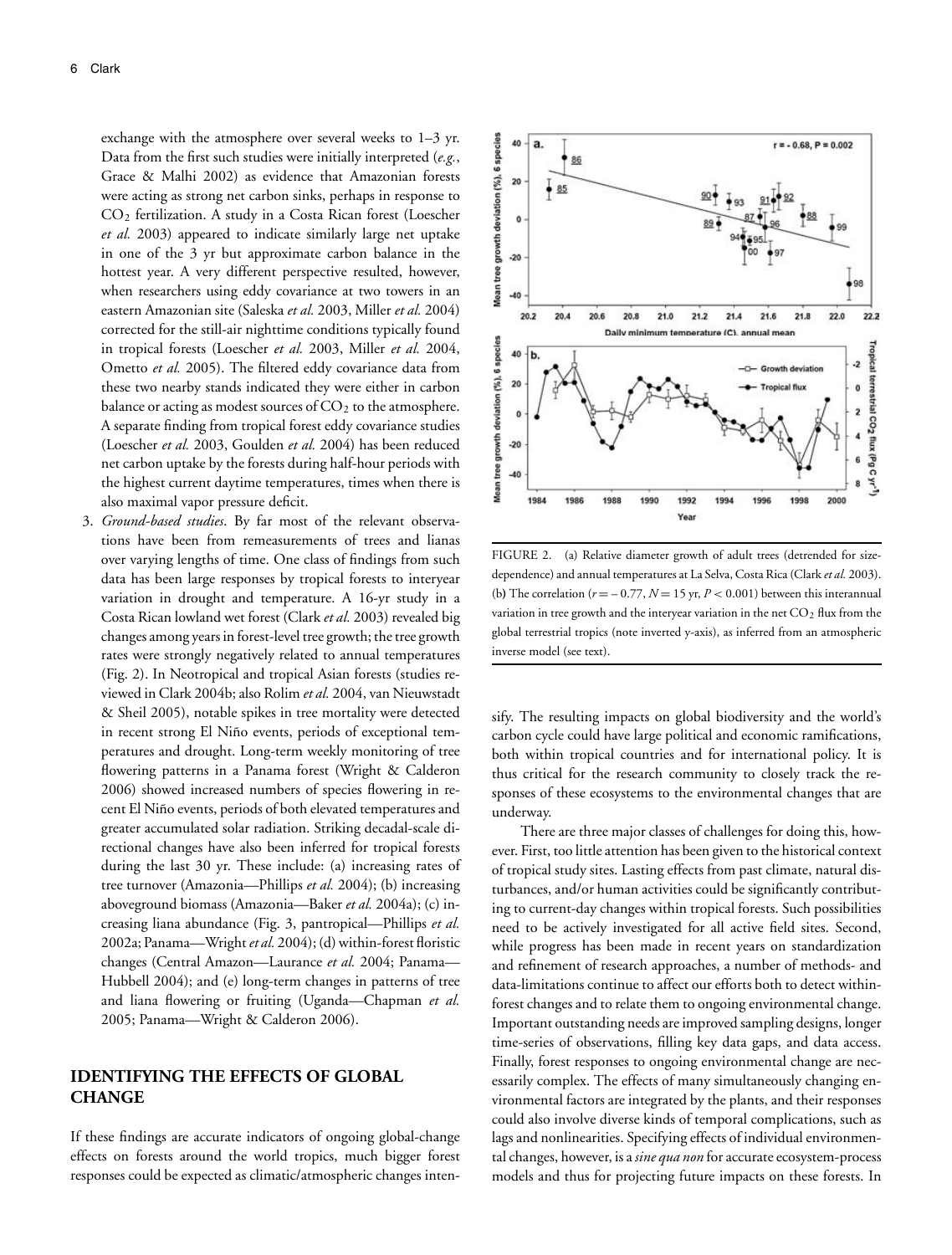exchange with the atmosphere over several weeks to 1–3 yr. Data from the first such studies were initially interpreted (*e.g.*, Grace & Malhi 2002) as evidence that Amazonian forests were acting as strong net carbon sinks, perhaps in response to CO2 fertilization. A study in a Costa Rican forest (Loescher *et al.* 2003) appeared to indicate similarly large net uptake in one of the 3 yr but approximate carbon balance in the hottest year. A very different perspective resulted, however, when researchers using eddy covariance at two towers in an eastern Amazonian site (Saleska *et al.* 2003, Miller *et al.* 2004) corrected for the still-air nighttime conditions typically found in tropical forests (Loescher *et al.* 2003, Miller *et al.* 2004, Ometto *et al.* 2005). The filtered eddy covariance data from these two nearby stands indicated they were either in carbon balance or acting as modest sources of  $CO<sub>2</sub>$  to the atmosphere. A separate finding from tropical forest eddy covariance studies (Loescher *et al.* 2003, Goulden *et al.* 2004) has been reduced net carbon uptake by the forests during half-hour periods with the highest current daytime temperatures, times when there is also maximal vapor pressure deficit.

3. *Ground-based studies*. By far most of the relevant observations have been from remeasurements of trees and lianas over varying lengths of time. One class of findings from such data has been large responses by tropical forests to interyear variation in drought and temperature. A 16-yr study in a Costa Rican lowland wet forest (Clark *et al.* 2003) revealed big changes among years in forest-level tree growth; the tree growth rates were strongly negatively related to annual temperatures (Fig. 2). In Neotropical and tropical Asian forests (studies reviewed in Clark 2004b; also Rolim *et al.* 2004, van Nieuwstadt & Sheil 2005), notable spikes in tree mortality were detected in recent strong El Niño events, periods of exceptional temperatures and drought. Long-term weekly monitoring of tree flowering patterns in a Panama forest (Wright & Calderon 2006) showed increased numbers of species flowering in recent El Niño events, periods of both elevated temperatures and greater accumulated solar radiation. Striking decadal-scale directional changes have also been inferred for tropical forests during the last 30 yr. These include: (a) increasing rates of tree turnover (Amazonia—Phillips *et al.* 2004); (b) increasing aboveground biomass (Amazonia—Baker *et al.* 2004a); (c) increasing liana abundance (Fig. 3, pantropical—Phillips *et al.* 2002a; Panama—Wright*et al.* 2004); (d) within-forest floristic changes (Central Amazon—Laurance *et al.* 2004; Panama— Hubbell 2004); and (e) long-term changes in patterns of tree and liana flowering or fruiting (Uganda—Chapman *et al.* 2005; Panama—Wright & Calderon 2006).

## **IDENTIFYING THE EFFECTS OF GLOBAL CHANGE**

If these findings are accurate indicators of ongoing global-change effects on forests around the world tropics, much bigger forest responses could be expected as climatic/atmospheric changes inten-



FIGURE 2. (a) Relative diameter growth of adult trees (detrended for sizedependence) and annual temperatures at La Selva, Costa Rica (Clark *et al.* 2003). (b) The correlation ( $r = -0.77$ ,  $N = 15$  yr,  $P < 0.001$ ) between this interannual variation in tree growth and the interyear variation in the net  $CO<sub>2</sub>$  flux from the global terrestrial tropics (note inverted y-axis), as inferred from an atmospheric inverse model (see text).

sify. The resulting impacts on global biodiversity and the world's carbon cycle could have large political and economic ramifications, both within tropical countries and for international policy. It is thus critical for the research community to closely track the responses of these ecosystems to the environmental changes that are underway.

There are three major classes of challenges for doing this, however. First, too little attention has been given to the historical context of tropical study sites. Lasting effects from past climate, natural disturbances, and/or human activities could be significantly contributing to current-day changes within tropical forests. Such possibilities need to be actively investigated for all active field sites. Second, while progress has been made in recent years on standardization and refinement of research approaches, a number of methods- and data-limitations continue to affect our efforts both to detect withinforest changes and to relate them to ongoing environmental change. Important outstanding needs are improved sampling designs, longer time-series of observations, filling key data gaps, and data access. Finally, forest responses to ongoing environmental change are necessarily complex. The effects of many simultaneously changing environmental factors are integrated by the plants, and their responses could also involve diverse kinds of temporal complications, such as lags and nonlinearities. Specifying effects of individual environmental changes, however, is a *sine qua non* for accurate ecosystem-process models and thus for projecting future impacts on these forests. In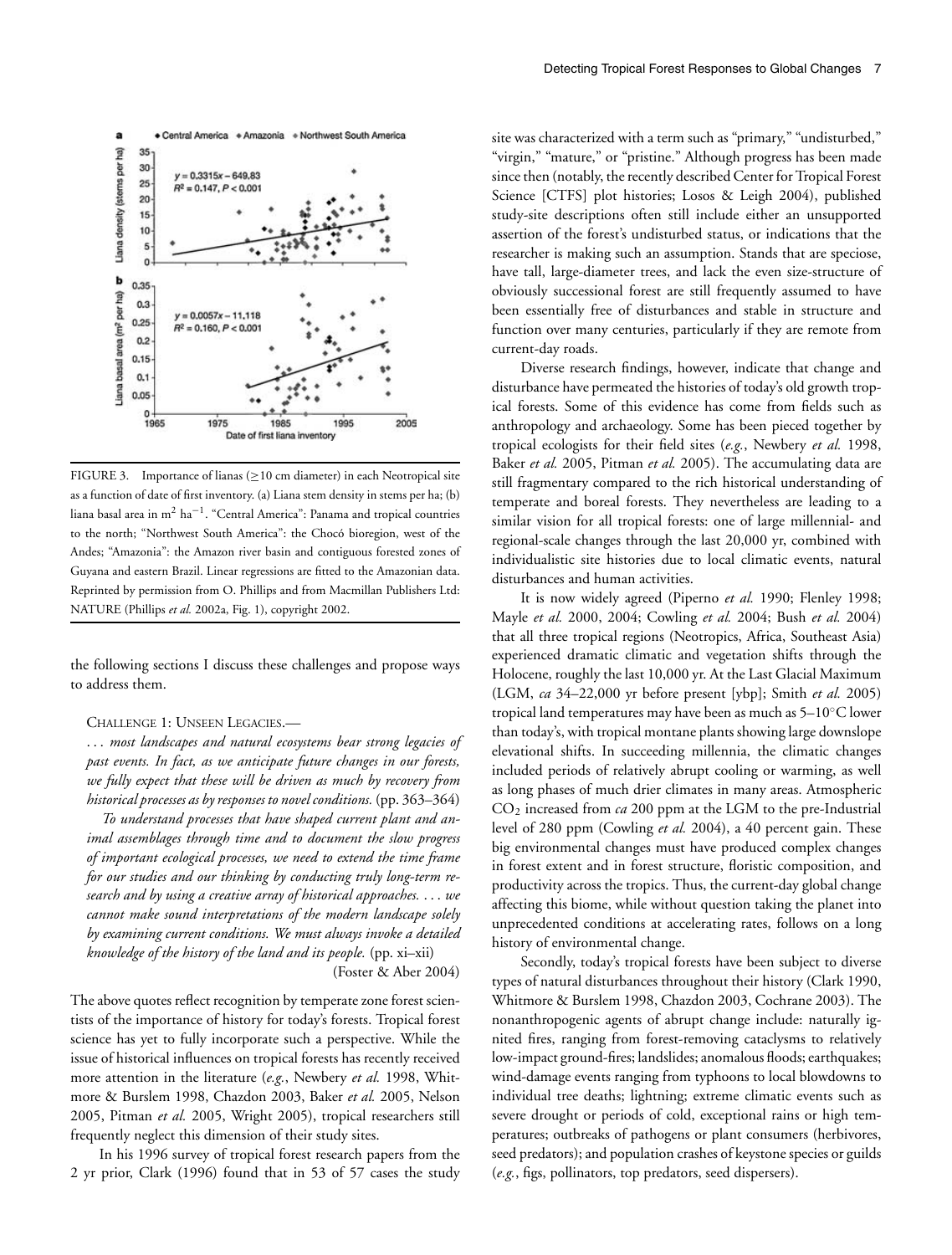

FIGURE 3. Importance of lianas ( $\geq$ 10 cm diameter) in each Neotropical site as a function of date of first inventory. (a) Liana stem density in stems per ha; (b) liana basal area in m2 ha−1. "Central America": Panama and tropical countries to the north; "Northwest South America": the Chocó bioregion, west of the Andes; "Amazonia": the Amazon river basin and contiguous forested zones of Guyana and eastern Brazil. Linear regressions are fitted to the Amazonian data. Reprinted by permission from O. Phillips and from Macmillan Publishers Ltd: NATURE (Phillips *et al.* 2002a, Fig. 1), copyright 2002.

the following sections I discuss these challenges and propose ways to address them.

CHALLENGE 1: UNSEEN LEGACIES.—

... *most landscapes and natural ecosystems bear strong legacies of past events. In fact, as we anticipate future changes in our forests, we fully expect that these will be driven as much by recovery from historical processes as by responses to novel conditions.* (pp. 363–364)

*To understand processes that have shaped current plant and animal assemblages through time and to document the slow progress of important ecological processes, we need to extend the time frame for our studies and our thinking by conducting truly long-term research and by using a creative array of historical approaches.* ... *we cannot make sound interpretations of the modern landscape solely by examining current conditions. We must always invoke a detailed knowledge of the history of the land and its people.* (pp. xi–xii)

(Foster & Aber 2004)

The above quotes reflect recognition by temperate zone forest scientists of the importance of history for today's forests. Tropical forest science has yet to fully incorporate such a perspective. While the issue of historical influences on tropical forests has recently received more attention in the literature (*e.g.*, Newbery *et al.* 1998, Whitmore & Burslem 1998, Chazdon 2003, Baker *et al.* 2005, Nelson 2005, Pitman *et al.* 2005, Wright 2005), tropical researchers still frequently neglect this dimension of their study sites.

In his 1996 survey of tropical forest research papers from the 2 yr prior, Clark (1996) found that in 53 of 57 cases the study site was characterized with a term such as "primary," "undisturbed," "virgin," "mature," or "pristine." Although progress has been made since then (notably, the recently described Center for Tropical Forest Science [CTFS] plot histories; Losos & Leigh 2004), published study-site descriptions often still include either an unsupported assertion of the forest's undisturbed status, or indications that the researcher is making such an assumption. Stands that are speciose, have tall, large-diameter trees, and lack the even size-structure of obviously successional forest are still frequently assumed to have been essentially free of disturbances and stable in structure and function over many centuries, particularly if they are remote from current-day roads.

Diverse research findings, however, indicate that change and disturbance have permeated the histories of today's old growth tropical forests. Some of this evidence has come from fields such as anthropology and archaeology. Some has been pieced together by tropical ecologists for their field sites (*e.g.*, Newbery *et al.* 1998, Baker *et al.* 2005, Pitman *et al.* 2005). The accumulating data are still fragmentary compared to the rich historical understanding of temperate and boreal forests. They nevertheless are leading to a similar vision for all tropical forests: one of large millennial- and regional-scale changes through the last 20,000 yr, combined with individualistic site histories due to local climatic events, natural disturbances and human activities.

It is now widely agreed (Piperno *et al.* 1990; Flenley 1998; Mayle *et al.* 2000, 2004; Cowling *et al.* 2004; Bush *et al.* 2004) that all three tropical regions (Neotropics, Africa, Southeast Asia) experienced dramatic climatic and vegetation shifts through the Holocene, roughly the last 10,000 yr. At the Last Glacial Maximum (LGM, *ca* 34–22,000 yr before present [ybp]; Smith *et al.* 2005) tropical land temperatures may have been as much as  $5-10^{\circ}$ C lower than today's, with tropical montane plants showing large downslope elevational shifts. In succeeding millennia, the climatic changes included periods of relatively abrupt cooling or warming, as well as long phases of much drier climates in many areas. Atmospheric CO2 increased from *ca* 200 ppm at the LGM to the pre-Industrial level of 280 ppm (Cowling *et al.* 2004), a 40 percent gain. These big environmental changes must have produced complex changes in forest extent and in forest structure, floristic composition, and productivity across the tropics. Thus, the current-day global change affecting this biome, while without question taking the planet into unprecedented conditions at accelerating rates, follows on a long history of environmental change.

Secondly, today's tropical forests have been subject to diverse types of natural disturbances throughout their history (Clark 1990, Whitmore & Burslem 1998, Chazdon 2003, Cochrane 2003). The nonanthropogenic agents of abrupt change include: naturally ignited fires, ranging from forest-removing cataclysms to relatively low-impact ground-fires; landslides; anomalous floods; earthquakes; wind-damage events ranging from typhoons to local blowdowns to individual tree deaths; lightning; extreme climatic events such as severe drought or periods of cold, exceptional rains or high temperatures; outbreaks of pathogens or plant consumers (herbivores, seed predators); and population crashes of keystone species or guilds (*e.g.*, figs, pollinators, top predators, seed dispersers).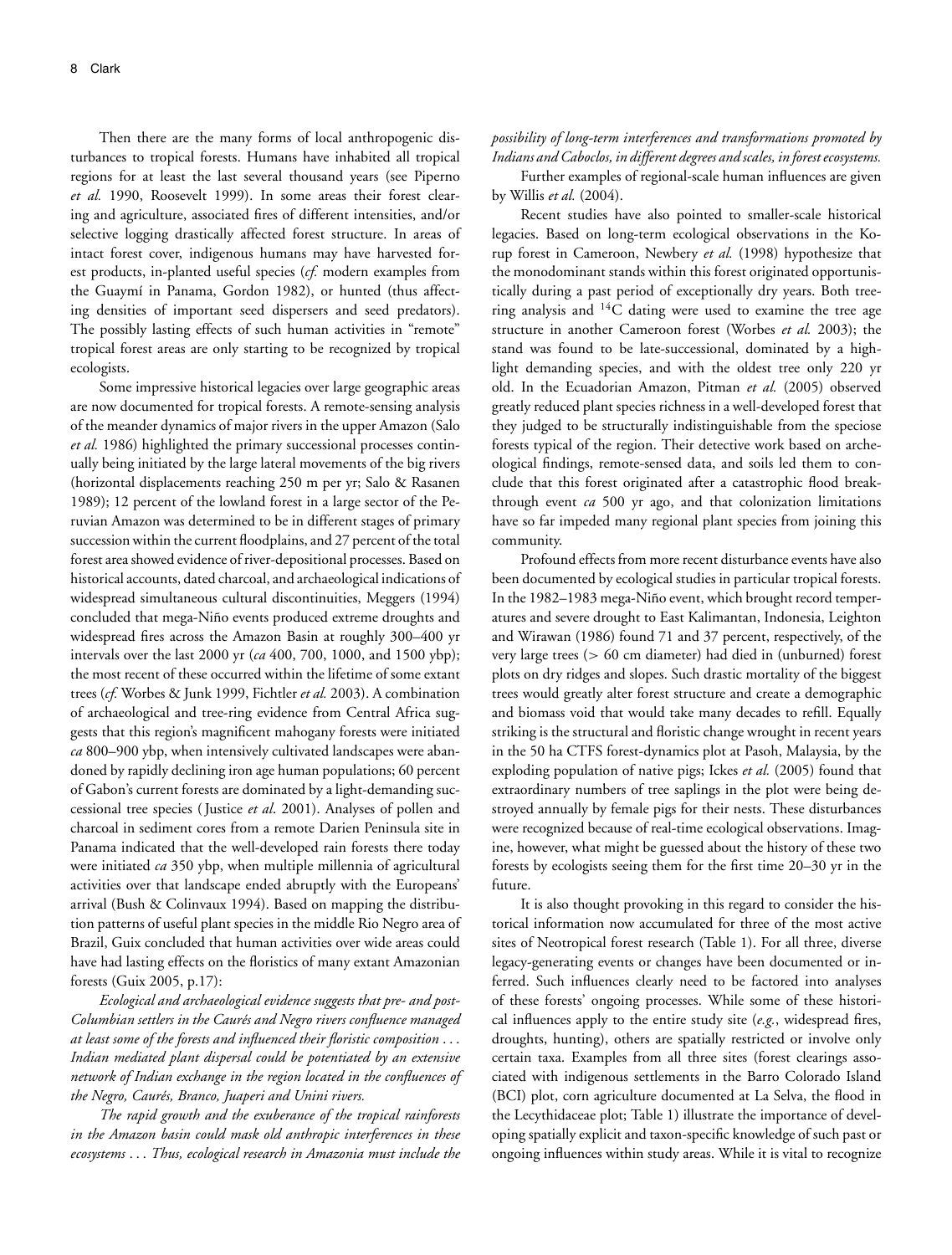Then there are the many forms of local anthropogenic disturbances to tropical forests. Humans have inhabited all tropical regions for at least the last several thousand years (see Piperno *et al.* 1990, Roosevelt 1999). In some areas their forest clearing and agriculture, associated fires of different intensities, and/or selective logging drastically affected forest structure. In areas of intact forest cover, indigenous humans may have harvested forest products, in-planted useful species (*cf.* modern examples from the Guaymí in Panama, Gordon 1982), or hunted (thus affecting densities of important seed dispersers and seed predators). The possibly lasting effects of such human activities in "remote" tropical forest areas are only starting to be recognized by tropical ecologists.

Some impressive historical legacies over large geographic areas are now documented for tropical forests. A remote-sensing analysis of the meander dynamics of major rivers in the upper Amazon (Salo *et al.* 1986) highlighted the primary successional processes continually being initiated by the large lateral movements of the big rivers (horizontal displacements reaching 250 m per yr; Salo & Rasanen 1989); 12 percent of the lowland forest in a large sector of the Peruvian Amazon was determined to be in different stages of primary succession within the current floodplains, and 27 percent of the total forest area showed evidence of river-depositional processes. Based on historical accounts, dated charcoal, and archaeological indications of widespread simultaneous cultural discontinuities, Meggers (1994) concluded that mega-Niño events produced extreme droughts and widespread fires across the Amazon Basin at roughly 300–400 yr intervals over the last 2000 yr (*ca* 400, 700, 1000, and 1500 ybp); the most recent of these occurred within the lifetime of some extant trees (*cf.* Worbes & Junk 1999, Fichtler *et al.* 2003). A combination of archaeological and tree-ring evidence from Central Africa suggests that this region's magnificent mahogany forests were initiated *ca* 800–900 ybp, when intensively cultivated landscapes were abandoned by rapidly declining iron age human populations; 60 percent of Gabon's current forests are dominated by a light-demanding successional tree species ( Justice *et al*. 2001). Analyses of pollen and charcoal in sediment cores from a remote Darien Peninsula site in Panama indicated that the well-developed rain forests there today were initiated *ca* 350 ybp, when multiple millennia of agricultural activities over that landscape ended abruptly with the Europeans' arrival (Bush & Colinvaux 1994). Based on mapping the distribution patterns of useful plant species in the middle Rio Negro area of Brazil, Guix concluded that human activities over wide areas could have had lasting effects on the floristics of many extant Amazonian forests (Guix 2005, p.17):

*Ecological and archaeological evidence suggests that pre- and post-Columbian settlers in the Caur´es and Negro rivers confluence managed at least some of the forests and influenced their floristic composition* ... *Indian mediated plant dispersal could be potentiated by an extensive network of Indian exchange in the region located in the confluences of the Negro, Caur´es, Branco, Juaperi and Unini rivers.*

*The rapid growth and the exuberance of the tropical rainforests in the Amazon basin could mask old anthropic interferences in these ecosystems* ... *Thus, ecological research in Amazonia must include the* *possibility of long-term interferences and transformations promoted by Indians and Caboclos, in different degrees and scales, in forest ecosystems.*

Further examples of regional-scale human influences are given by Willis *et al.* (2004).

Recent studies have also pointed to smaller-scale historical legacies. Based on long-term ecological observations in the Korup forest in Cameroon, Newbery *et al.* (1998) hypothesize that the monodominant stands within this forest originated opportunistically during a past period of exceptionally dry years. Both treering analysis and 14C dating were used to examine the tree age structure in another Cameroon forest (Worbes *et al.* 2003); the stand was found to be late-successional, dominated by a highlight demanding species, and with the oldest tree only 220 yr old. In the Ecuadorian Amazon, Pitman *et al.* (2005) observed greatly reduced plant species richness in a well-developed forest that they judged to be structurally indistinguishable from the speciose forests typical of the region. Their detective work based on archeological findings, remote-sensed data, and soils led them to conclude that this forest originated after a catastrophic flood breakthrough event *ca* 500 yr ago, and that colonization limitations have so far impeded many regional plant species from joining this community.

Profound effects from more recent disturbance events have also been documented by ecological studies in particular tropical forests. In the 1982–1983 mega-Niño event, which brought record temperatures and severe drought to East Kalimantan, Indonesia, Leighton and Wirawan (1986) found 71 and 37 percent, respectively, of the very large trees (> 60 cm diameter) had died in (unburned) forest plots on dry ridges and slopes. Such drastic mortality of the biggest trees would greatly alter forest structure and create a demographic and biomass void that would take many decades to refill. Equally striking is the structural and floristic change wrought in recent years in the 50 ha CTFS forest-dynamics plot at Pasoh, Malaysia, by the exploding population of native pigs; Ickes *et al.* (2005) found that extraordinary numbers of tree saplings in the plot were being destroyed annually by female pigs for their nests. These disturbances were recognized because of real-time ecological observations. Imagine, however, what might be guessed about the history of these two forests by ecologists seeing them for the first time 20–30 yr in the future.

It is also thought provoking in this regard to consider the historical information now accumulated for three of the most active sites of Neotropical forest research (Table 1). For all three, diverse legacy-generating events or changes have been documented or inferred. Such influences clearly need to be factored into analyses of these forests' ongoing processes. While some of these historical influences apply to the entire study site (*e.g.*, widespread fires, droughts, hunting), others are spatially restricted or involve only certain taxa. Examples from all three sites (forest clearings associated with indigenous settlements in the Barro Colorado Island (BCI) plot, corn agriculture documented at La Selva, the flood in the Lecythidaceae plot; Table 1) illustrate the importance of developing spatially explicit and taxon-specific knowledge of such past or ongoing influences within study areas. While it is vital to recognize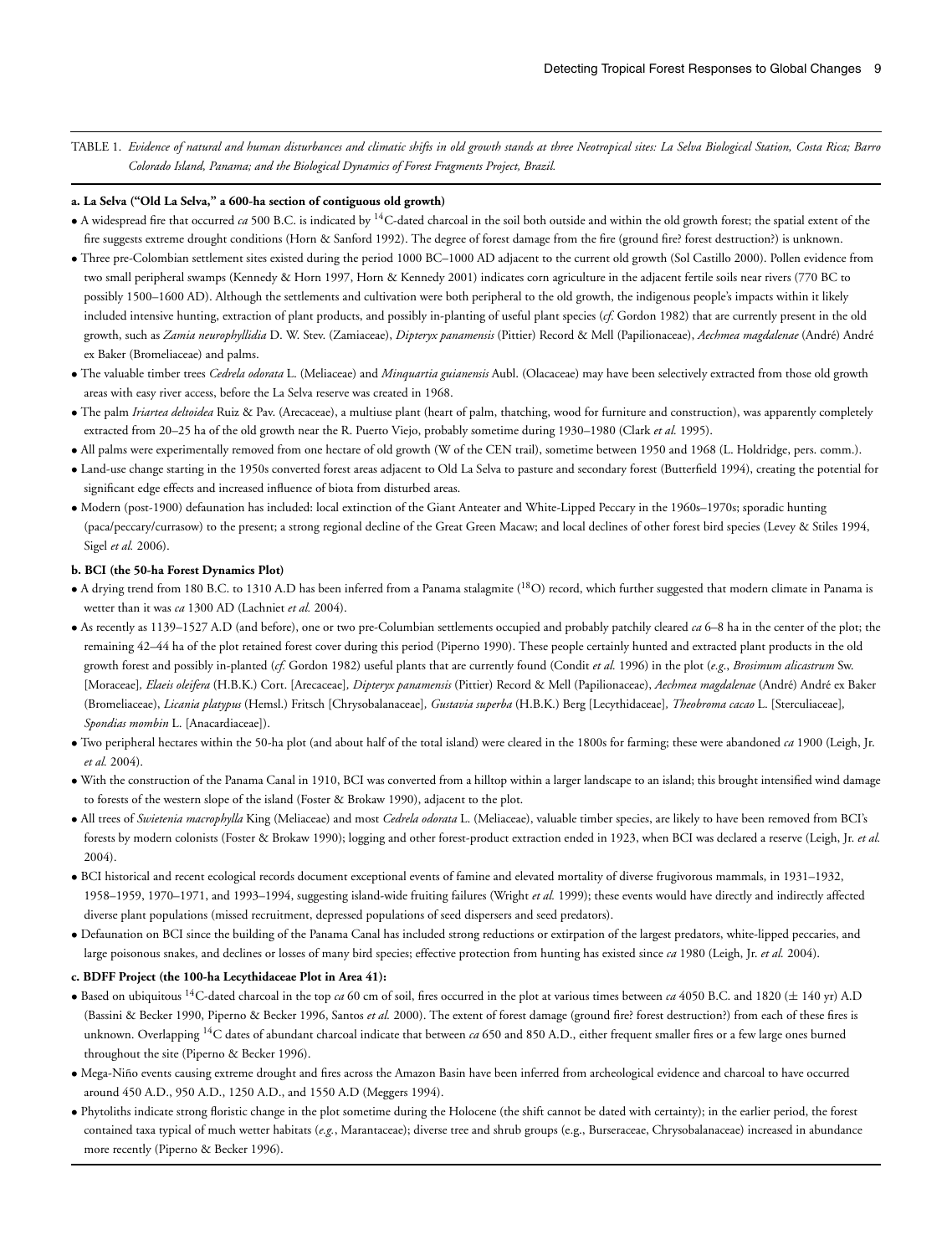TABLE 1. *Evidence of natural and human disturbances and climatic shifts in old growth stands at three Neotropical sites: La Selva Biological Station, Costa Rica; Barro Colorado Island, Panama; and the Biological Dynamics of Forest Fragments Project, Brazil.*

### **a. La Selva ("Old La Selva," a 600-ha section of contiguous old growth)**

- A widespread fire that occurred *ca* 500 B.C. is indicated by 14C-dated charcoal in the soil both outside and within the old growth forest; the spatial extent of the fire suggests extreme drought conditions (Horn & Sanford 1992). The degree of forest damage from the fire (ground fire? forest destruction?) is unknown.
- Three pre-Colombian settlement sites existed during the period 1000 BC–1000 AD adjacent to the current old growth (Sol Castillo 2000). Pollen evidence from two small peripheral swamps (Kennedy & Horn 1997, Horn & Kennedy 2001) indicates corn agriculture in the adjacent fertile soils near rivers (770 BC to possibly 1500–1600 AD). Although the settlements and cultivation were both peripheral to the old growth, the indigenous people's impacts within it likely included intensive hunting, extraction of plant products, and possibly in-planting of useful plant species (*cf*. Gordon 1982) that are currently present in the old growth, such as *Zamia neurophyllidia* D. W. Stev. (Zamiaceae), *Dipteryx panamensis* (Pittier) Record & Mell (Papilionaceae), *Aechmea magdalenae* (André) André ex Baker (Bromeliaceae) and palms.
- The valuable timber trees *Cedrela odorata* L. (Meliaceae) and *Minquartia guianensis* Aubl. (Olacaceae) may have been selectively extracted from those old growth areas with easy river access, before the La Selva reserve was created in 1968.
- The palm *Iriartea deltoidea* Ruiz & Pav. (Arecaceae), a multiuse plant (heart of palm, thatching, wood for furniture and construction), was apparently completely extracted from 20–25 ha of the old growth near the R. Puerto Viejo, probably sometime during 1930–1980 (Clark *et al.* 1995).
- All palms were experimentally removed from one hectare of old growth (W of the CEN trail), sometime between 1950 and 1968 (L. Holdridge, pers. comm.).
- Land-use change starting in the 1950s converted forest areas adjacent to Old La Selva to pasture and secondary forest (Butterfield 1994), creating the potential for significant edge effects and increased influence of biota from disturbed areas.
- Modern (post-1900) defaunation has included: local extinction of the Giant Anteater and White-Lipped Peccary in the 1960s–1970s; sporadic hunting (paca/peccary/currasow) to the present; a strong regional decline of the Great Green Macaw; and local declines of other forest bird species (Levey & Stiles 1994, Sigel *et al.* 2006).

### **b. BCI (the 50-ha Forest Dynamics Plot)**

- A drying trend from 180 B.C. to 1310 A.D has been inferred from a Panama stalagmite (18O) record, which further suggested that modern climate in Panama is wetter than it was *ca* 1300 AD (Lachniet *et al.* 2004).
- As recently as 1139–1527 A.D (and before), one or two pre-Columbian settlements occupied and probably patchily cleared *ca* 6–8 ha in the center of the plot; the remaining 42–44 ha of the plot retained forest cover during this period (Piperno 1990). These people certainly hunted and extracted plant products in the old growth forest and possibly in-planted (*cf.* Gordon 1982) useful plants that are currently found (Condit *et al.* 1996) in the plot (*e.g*., *Brosimum alicastrum* Sw. [Moraceae], Elaeis oleifera (H.B.K.) Cort. [Arecaceae], Dipteryx panamensis (Pittier) Record & Mell (Papilionaceae), Aechmea magdalenae (André) André ex Baker (Bromeliaceae), *Licania platypus* (Hemsl.) Fritsch [Chrysobalanaceae]*, Gustavia superba* (H.B.K.) Berg [Lecythidaceae]*, Theobroma cacao* L. [Sterculiaceae]*, Spondias mombin* L. [Anacardiaceae]).
- Two peripheral hectares within the 50-ha plot (and about half of the total island) were cleared in the 1800s for farming; these were abandoned *ca* 1900 (Leigh, Jr. *et al.* 2004).
- With the construction of the Panama Canal in 1910, BCI was converted from a hilltop within a larger landscape to an island; this brought intensified wind damage to forests of the western slope of the island (Foster & Brokaw 1990), adjacent to the plot.
- All trees of *Swietenia macrophylla* King (Meliaceae) and most *Cedrela odorata* L. (Meliaceae), valuable timber species, are likely to have been removed from BCI's forests by modern colonists (Foster & Brokaw 1990); logging and other forest-product extraction ended in 1923, when BCI was declared a reserve (Leigh, Jr. *et al.* 2004).
- BCI historical and recent ecological records document exceptional events of famine and elevated mortality of diverse frugivorous mammals, in 1931–1932, 1958–1959, 1970–1971, and 1993–1994, suggesting island-wide fruiting failures (Wright *et al.* 1999); these events would have directly and indirectly affected diverse plant populations (missed recruitment, depressed populations of seed dispersers and seed predators).
- Defaunation on BCI since the building of the Panama Canal has included strong reductions or extirpation of the largest predators, white-lipped peccaries, and large poisonous snakes, and declines or losses of many bird species; effective protection from hunting has existed since *ca* 1980 (Leigh, Jr. *et al.* 2004).

#### **c. BDFF Project (the 100-ha Lecythidaceae Plot in Area 41):**

- Based on ubiquitous 14C-dated charcoal in the top *ca* 60 cm of soil, fires occurred in the plot at various times between *ca* 4050 B.C. and 1820 (<sup>±</sup> 140 yr) A.D (Bassini & Becker 1990, Piperno & Becker 1996, Santos *et al.* 2000). The extent of forest damage (ground fire? forest destruction?) from each of these fires is unknown. Overlapping 14C dates of abundant charcoal indicate that between *ca* 650 and 850 A.D., either frequent smaller fires or a few large ones burned throughout the site (Piperno & Becker 1996).
- Mega-Nino events causing extreme drought and fires across the Amazon Basin have been inferred from archeological evidence and charcoal to have occurred ˜ around 450 A.D., 950 A.D., 1250 A.D., and 1550 A.D (Meggers 1994).
- Phytoliths indicate strong floristic change in the plot sometime during the Holocene (the shift cannot be dated with certainty); in the earlier period, the forest contained taxa typical of much wetter habitats (*e.g.*, Marantaceae); diverse tree and shrub groups (e.g., Burseraceae, Chrysobalanaceae) increased in abundance more recently (Piperno & Becker 1996).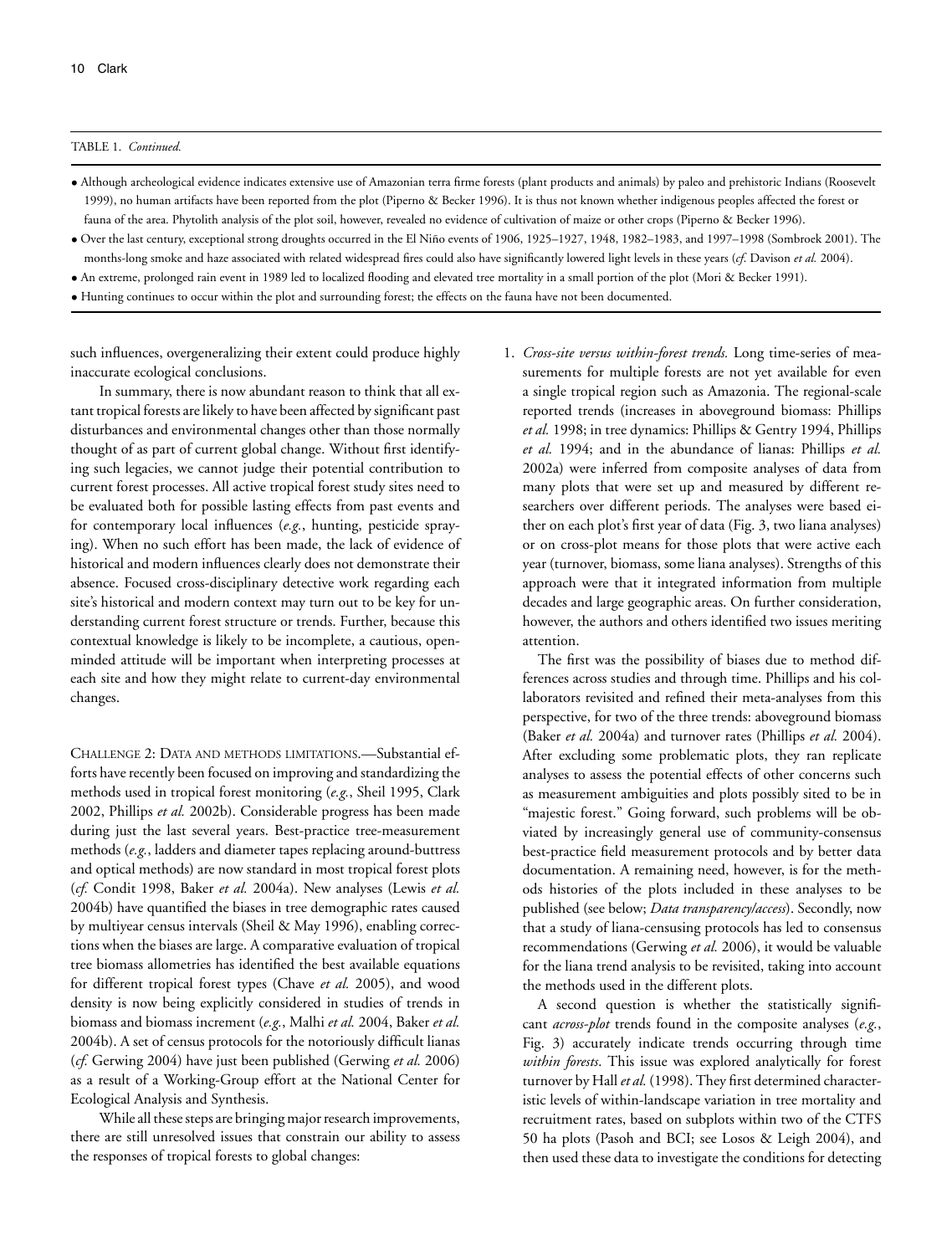### TABLE 1. *Continued.*

- Although archeological evidence indicates extensive use of Amazonian terra firme forests (plant products and animals) by paleo and prehistoric Indians (Roosevelt 1999), no human artifacts have been reported from the plot (Piperno & Becker 1996). It is thus not known whether indigenous peoples affected the forest or fauna of the area. Phytolith analysis of the plot soil, however, revealed no evidence of cultivation of maize or other crops (Piperno & Becker 1996).
- Over the last century, exceptional strong droughts occurred in the El Niño events of 1906, 1925–1927, 1948, 1982–1983, and 1997–1998 (Sombroek 2001). The months-long smoke and haze associated with related widespread fires could also have significantly lowered light levels in these years (*cf*. Davison *et al.* 2004).
- An extreme, prolonged rain event in 1989 led to localized flooding and elevated tree mortality in a small portion of the plot (Mori & Becker 1991).
- Hunting continues to occur within the plot and surrounding forest; the effects on the fauna have not been documented.

such influences, overgeneralizing their extent could produce highly inaccurate ecological conclusions.

In summary, there is now abundant reason to think that all extant tropical forests are likely to have been affected by significant past disturbances and environmental changes other than those normally thought of as part of current global change. Without first identifying such legacies, we cannot judge their potential contribution to current forest processes. All active tropical forest study sites need to be evaluated both for possible lasting effects from past events and for contemporary local influences (*e.g.*, hunting, pesticide spraying). When no such effort has been made, the lack of evidence of historical and modern influences clearly does not demonstrate their absence. Focused cross-disciplinary detective work regarding each site's historical and modern context may turn out to be key for understanding current forest structure or trends. Further, because this contextual knowledge is likely to be incomplete, a cautious, openminded attitude will be important when interpreting processes at each site and how they might relate to current-day environmental changes.

CHALLENGE 2: DATA AND METHODS LIMITATIONS.—Substantial efforts have recently been focused on improving and standardizing the methods used in tropical forest monitoring (*e.g.*, Sheil 1995, Clark 2002, Phillips *et al.* 2002b). Considerable progress has been made during just the last several years. Best-practice tree-measurement methods (*e.g.*, ladders and diameter tapes replacing around-buttress and optical methods) are now standard in most tropical forest plots (*cf.* Condit 1998, Baker *et al.* 2004a). New analyses (Lewis *et al.* 2004b) have quantified the biases in tree demographic rates caused by multiyear census intervals (Sheil & May 1996), enabling corrections when the biases are large. A comparative evaluation of tropical tree biomass allometries has identified the best available equations for different tropical forest types (Chave *et al.* 2005), and wood density is now being explicitly considered in studies of trends in biomass and biomass increment (*e.g.*, Malhi *et al.* 2004, Baker *et al.* 2004b). A set of census protocols for the notoriously difficult lianas (*cf.* Gerwing 2004) have just been published (Gerwing *et al.* 2006) as a result of a Working-Group effort at the National Center for Ecological Analysis and Synthesis.

While all these steps are bringing major research improvements, there are still unresolved issues that constrain our ability to assess the responses of tropical forests to global changes:

1. *Cross-site versus within-forest trends.* Long time-series of measurements for multiple forests are not yet available for even a single tropical region such as Amazonia. The regional-scale reported trends (increases in aboveground biomass: Phillips *et al.* 1998; in tree dynamics: Phillips & Gentry 1994, Phillips *et al.* 1994; and in the abundance of lianas: Phillips *et al.* 2002a) were inferred from composite analyses of data from many plots that were set up and measured by different researchers over different periods. The analyses were based either on each plot's first year of data (Fig. 3, two liana analyses) or on cross-plot means for those plots that were active each year (turnover, biomass, some liana analyses). Strengths of this approach were that it integrated information from multiple decades and large geographic areas. On further consideration, however, the authors and others identified two issues meriting attention.

The first was the possibility of biases due to method differences across studies and through time. Phillips and his collaborators revisited and refined their meta-analyses from this perspective, for two of the three trends: aboveground biomass (Baker *et al.* 2004a) and turnover rates (Phillips *et al.* 2004). After excluding some problematic plots, they ran replicate analyses to assess the potential effects of other concerns such as measurement ambiguities and plots possibly sited to be in "majestic forest." Going forward, such problems will be obviated by increasingly general use of community-consensus best-practice field measurement protocols and by better data documentation. A remaining need, however, is for the methods histories of the plots included in these analyses to be published (see below; *Data transparency/access*). Secondly, now that a study of liana-censusing protocols has led to consensus recommendations (Gerwing *et al.* 2006), it would be valuable for the liana trend analysis to be revisited, taking into account the methods used in the different plots.

A second question is whether the statistically significant *across-plot* trends found in the composite analyses (*e.g.*, Fig. 3) accurately indicate trends occurring through time *within forests*. This issue was explored analytically for forest turnover by Hall*et al.* (1998). They first determined characteristic levels of within-landscape variation in tree mortality and recruitment rates, based on subplots within two of the CTFS 50 ha plots (Pasoh and BCI; see Losos & Leigh 2004), and then used these data to investigate the conditions for detecting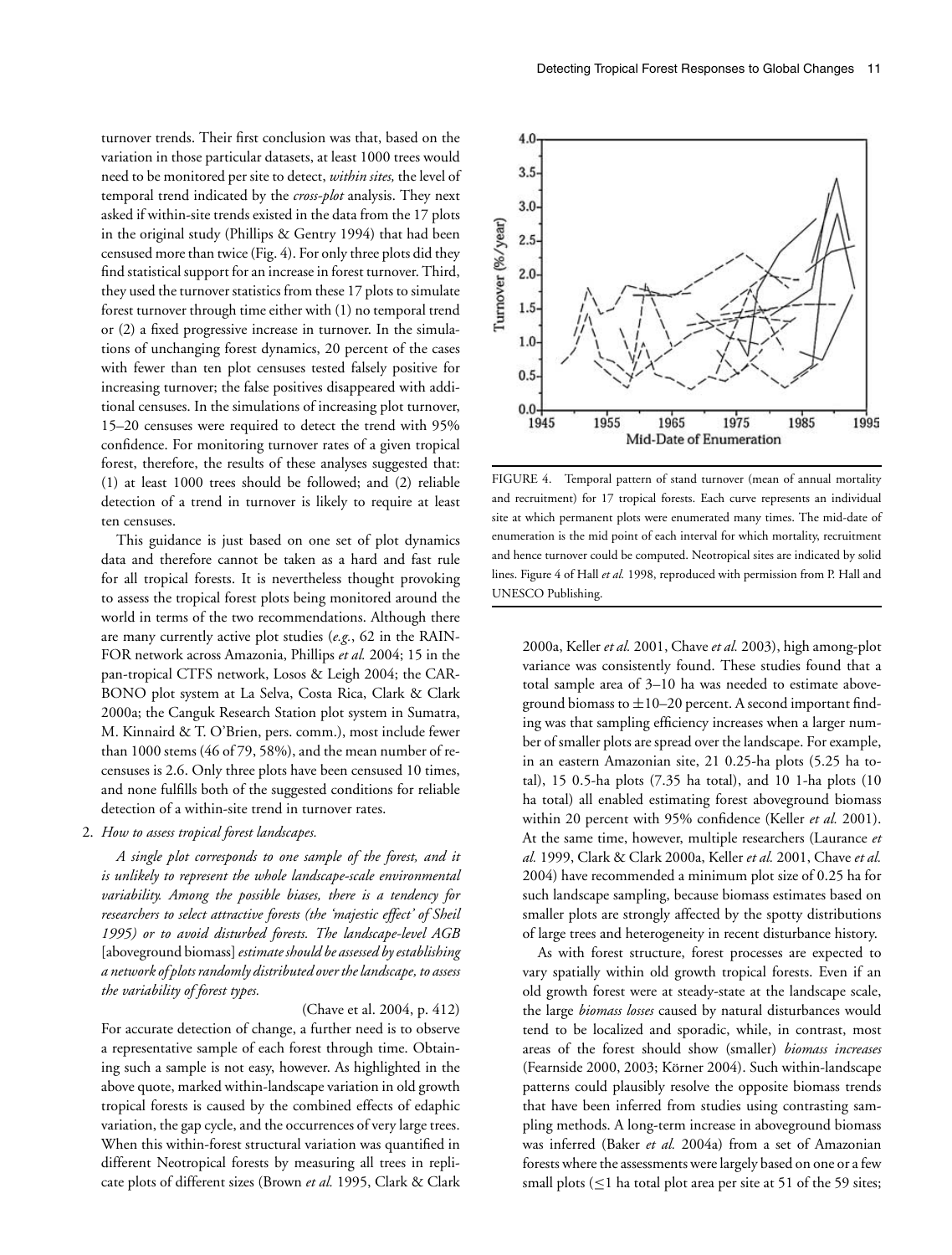turnover trends. Their first conclusion was that, based on the variation in those particular datasets, at least 1000 trees would need to be monitored per site to detect, *within sites,* the level of temporal trend indicated by the *cross-plot* analysis. They next asked if within-site trends existed in the data from the 17 plots in the original study (Phillips & Gentry 1994) that had been censused more than twice (Fig. 4). For only three plots did they find statistical support for an increase in forest turnover. Third, they used the turnover statistics from these 17 plots to simulate forest turnover through time either with (1) no temporal trend or (2) a fixed progressive increase in turnover. In the simulations of unchanging forest dynamics, 20 percent of the cases with fewer than ten plot censuses tested falsely positive for increasing turnover; the false positives disappeared with additional censuses. In the simulations of increasing plot turnover, 15–20 censuses were required to detect the trend with 95% confidence. For monitoring turnover rates of a given tropical forest, therefore, the results of these analyses suggested that: (1) at least 1000 trees should be followed; and (2) reliable detection of a trend in turnover is likely to require at least ten censuses.

This guidance is just based on one set of plot dynamics data and therefore cannot be taken as a hard and fast rule for all tropical forests. It is nevertheless thought provoking to assess the tropical forest plots being monitored around the world in terms of the two recommendations. Although there are many currently active plot studies (*e.g.*, 62 in the RAIN-FOR network across Amazonia, Phillips *et al.* 2004; 15 in the pan-tropical CTFS network, Losos & Leigh 2004; the CAR-BONO plot system at La Selva, Costa Rica, Clark & Clark 2000a; the Canguk Research Station plot system in Sumatra, M. Kinnaird & T. O'Brien, pers. comm.), most include fewer than 1000 stems (46 of 79, 58%), and the mean number of recensuses is 2.6. Only three plots have been censused 10 times, and none fulfills both of the suggested conditions for reliable detection of a within-site trend in turnover rates.

### 2. *How to assess tropical forest landscapes.*

*A single plot corresponds to one sample of the forest, and it is unlikely to represent the whole landscape-scale environmental variability. Among the possible biases, there is a tendency for researchers to select attractive forests (the 'majestic effect' of Sheil 1995) or to avoid disturbed forests. The landscape-level AGB* [aboveground biomass]*estimate should be assessed by establishing a network of plots randomly distributed over the landscape, to assess the variability of forest types.*

### (Chave et al. 2004, p. 412)

For accurate detection of change, a further need is to observe a representative sample of each forest through time. Obtaining such a sample is not easy, however. As highlighted in the above quote, marked within-landscape variation in old growth tropical forests is caused by the combined effects of edaphic variation, the gap cycle, and the occurrences of very large trees. When this within-forest structural variation was quantified in different Neotropical forests by measuring all trees in replicate plots of different sizes (Brown *et al.* 1995, Clark & Clark



FIGURE 4. Temporal pattern of stand turnover (mean of annual mortality and recruitment) for 17 tropical forests. Each curve represents an individual site at which permanent plots were enumerated many times. The mid-date of enumeration is the mid point of each interval for which mortality, recruitment and hence turnover could be computed. Neotropical sites are indicated by solid lines. Figure 4 of Hall *et al.* 1998, reproduced with permission from P. Hall and UNESCO Publishing.

2000a, Keller *et al.* 2001, Chave *et al.* 2003), high among-plot variance was consistently found. These studies found that a total sample area of 3–10 ha was needed to estimate aboveground biomass to  $\pm 10-20$  percent. A second important finding was that sampling efficiency increases when a larger number of smaller plots are spread over the landscape. For example, in an eastern Amazonian site, 21 0.25-ha plots (5.25 ha total), 15 0.5-ha plots (7.35 ha total), and 10 1-ha plots (10 ha total) all enabled estimating forest aboveground biomass within 20 percent with 95% confidence (Keller *et al.* 2001). At the same time, however, multiple researchers (Laurance *et al.* 1999, Clark & Clark 2000a, Keller *et al.* 2001, Chave *et al.* 2004) have recommended a minimum plot size of 0.25 ha for such landscape sampling, because biomass estimates based on smaller plots are strongly affected by the spotty distributions of large trees and heterogeneity in recent disturbance history.

As with forest structure, forest processes are expected to vary spatially within old growth tropical forests. Even if an old growth forest were at steady-state at the landscape scale, the large *biomass losses* caused by natural disturbances would tend to be localized and sporadic, while, in contrast, most areas of the forest should show (smaller) *biomass increases* (Fearnside 2000, 2003; Körner 2004). Such within-landscape patterns could plausibly resolve the opposite biomass trends that have been inferred from studies using contrasting sampling methods. A long-term increase in aboveground biomass was inferred (Baker *et al.* 2004a) from a set of Amazonian forests where the assessments were largely based on one or a few small plots ( $\leq$ 1 ha total plot area per site at 51 of the 59 sites;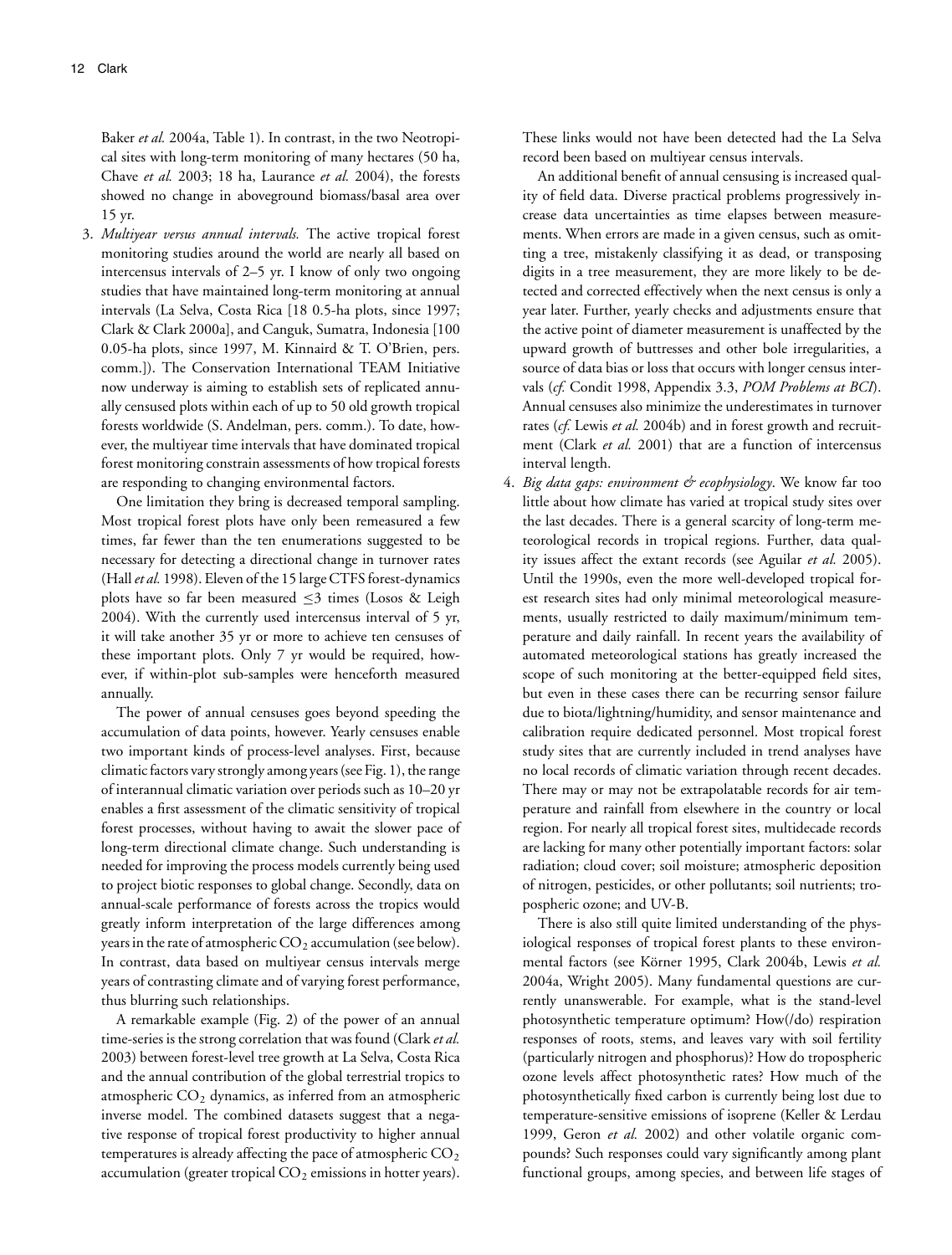Baker *et al.* 2004a, Table 1). In contrast, in the two Neotropical sites with long-term monitoring of many hectares (50 ha, Chave *et al.* 2003; 18 ha, Laurance *et al.* 2004), the forests showed no change in aboveground biomass/basal area over 15 yr.

3. *Multiyear versus annual intervals.* The active tropical forest monitoring studies around the world are nearly all based on intercensus intervals of 2–5 yr. I know of only two ongoing studies that have maintained long-term monitoring at annual intervals (La Selva, Costa Rica [18 0.5-ha plots, since 1997; Clark & Clark 2000a], and Canguk, Sumatra, Indonesia [100 0.05-ha plots, since 1997, M. Kinnaird & T. O'Brien, pers. comm.]). The Conservation International TEAM Initiative now underway is aiming to establish sets of replicated annually censused plots within each of up to 50 old growth tropical forests worldwide (S. Andelman, pers. comm.). To date, however, the multiyear time intervals that have dominated tropical forest monitoring constrain assessments of how tropical forests are responding to changing environmental factors.

One limitation they bring is decreased temporal sampling. Most tropical forest plots have only been remeasured a few times, far fewer than the ten enumerations suggested to be necessary for detecting a directional change in turnover rates (Hall*et al.* 1998). Eleven of the 15 large CTFS forest-dynamics plots have so far been measured ≤3 times (Losos & Leigh 2004). With the currently used intercensus interval of 5 yr, it will take another 35 yr or more to achieve ten censuses of these important plots. Only 7 yr would be required, however, if within-plot sub-samples were henceforth measured annually.

The power of annual censuses goes beyond speeding the accumulation of data points, however. Yearly censuses enable two important kinds of process-level analyses. First, because climatic factors vary strongly among years (see Fig. 1), the range of interannual climatic variation over periods such as 10–20 yr enables a first assessment of the climatic sensitivity of tropical forest processes, without having to await the slower pace of long-term directional climate change. Such understanding is needed for improving the process models currently being used to project biotic responses to global change. Secondly, data on annual-scale performance of forests across the tropics would greatly inform interpretation of the large differences among years in the rate of atmospheric  $CO<sub>2</sub>$  accumulation (see below). In contrast, data based on multiyear census intervals merge years of contrasting climate and of varying forest performance, thus blurring such relationships.

A remarkable example (Fig. 2) of the power of an annual time-series is the strong correlation that was found (Clark *et al.* 2003) between forest-level tree growth at La Selva, Costa Rica and the annual contribution of the global terrestrial tropics to atmospheric  $CO<sub>2</sub>$  dynamics, as inferred from an atmospheric inverse model. The combined datasets suggest that a negative response of tropical forest productivity to higher annual temperatures is already affecting the pace of atmospheric  $CO<sub>2</sub>$ accumulation (greater tropical  $CO<sub>2</sub>$  emissions in hotter years).

These links would not have been detected had the La Selva record been based on multiyear census intervals.

- An additional benefit of annual censusing is increased quality of field data. Diverse practical problems progressively increase data uncertainties as time elapses between measurements. When errors are made in a given census, such as omitting a tree, mistakenly classifying it as dead, or transposing digits in a tree measurement, they are more likely to be detected and corrected effectively when the next census is only a year later. Further, yearly checks and adjustments ensure that the active point of diameter measurement is unaffected by the upward growth of buttresses and other bole irregularities, a source of data bias or loss that occurs with longer census intervals (*cf.* Condit 1998, Appendix 3.3, *POM Problems at BCI*). Annual censuses also minimize the underestimates in turnover rates (*cf.* Lewis *et al.* 2004b) and in forest growth and recruitment (Clark *et al.* 2001) that are a function of intercensus interval length.
- 4. *Big data gaps: environment & ecophysiology*. We know far too little about how climate has varied at tropical study sites over the last decades. There is a general scarcity of long-term meteorological records in tropical regions. Further, data quality issues affect the extant records (see Aguilar *et al.* 2005). Until the 1990s, even the more well-developed tropical forest research sites had only minimal meteorological measurements, usually restricted to daily maximum/minimum temperature and daily rainfall. In recent years the availability of automated meteorological stations has greatly increased the scope of such monitoring at the better-equipped field sites, but even in these cases there can be recurring sensor failure due to biota/lightning/humidity, and sensor maintenance and calibration require dedicated personnel. Most tropical forest study sites that are currently included in trend analyses have no local records of climatic variation through recent decades. There may or may not be extrapolatable records for air temperature and rainfall from elsewhere in the country or local region. For nearly all tropical forest sites, multidecade records are lacking for many other potentially important factors: solar radiation; cloud cover; soil moisture; atmospheric deposition of nitrogen, pesticides, or other pollutants; soil nutrients; tropospheric ozone; and UV-B.

There is also still quite limited understanding of the physiological responses of tropical forest plants to these environmental factors (see Körner 1995, Clark 2004b, Lewis et al. 2004a, Wright 2005). Many fundamental questions are currently unanswerable. For example, what is the stand-level photosynthetic temperature optimum? How(/do) respiration responses of roots, stems, and leaves vary with soil fertility (particularly nitrogen and phosphorus)? How do tropospheric ozone levels affect photosynthetic rates? How much of the photosynthetically fixed carbon is currently being lost due to temperature-sensitive emissions of isoprene (Keller & Lerdau 1999, Geron *et al.* 2002) and other volatile organic compounds? Such responses could vary significantly among plant functional groups, among species, and between life stages of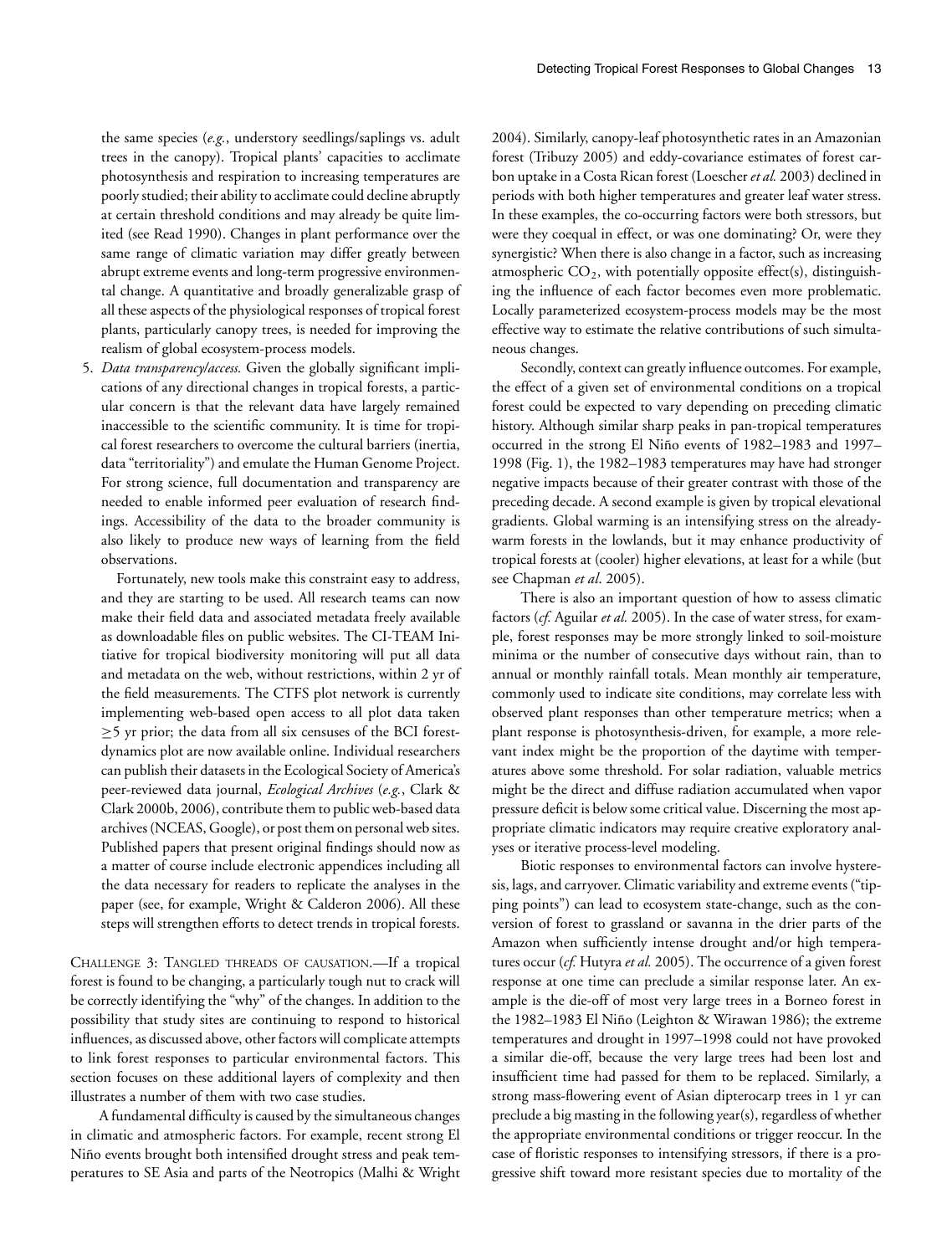the same species (*e.g.*, understory seedlings/saplings vs. adult trees in the canopy). Tropical plants' capacities to acclimate photosynthesis and respiration to increasing temperatures are poorly studied; their ability to acclimate could decline abruptly at certain threshold conditions and may already be quite limited (see Read 1990). Changes in plant performance over the same range of climatic variation may differ greatly between abrupt extreme events and long-term progressive environmental change. A quantitative and broadly generalizable grasp of all these aspects of the physiological responses of tropical forest plants, particularly canopy trees, is needed for improving the realism of global ecosystem-process models.

5. *Data transparency/access.* Given the globally significant implications of any directional changes in tropical forests, a particular concern is that the relevant data have largely remained inaccessible to the scientific community. It is time for tropical forest researchers to overcome the cultural barriers (inertia, data "territoriality") and emulate the Human Genome Project. For strong science, full documentation and transparency are needed to enable informed peer evaluation of research findings. Accessibility of the data to the broader community is also likely to produce new ways of learning from the field observations.

Fortunately, new tools make this constraint easy to address, and they are starting to be used. All research teams can now make their field data and associated metadata freely available as downloadable files on public websites. The CI-TEAM Initiative for tropical biodiversity monitoring will put all data and metadata on the web, without restrictions, within 2 yr of the field measurements. The CTFS plot network is currently implementing web-based open access to all plot data taken ≥5 yr prior; the data from all six censuses of the BCI forestdynamics plot are now available online. Individual researchers can publish their datasets in the Ecological Society of America's peer-reviewed data journal, *Ecological Archives* (*e.g.*, Clark & Clark 2000b, 2006), contribute them to public web-based data archives (NCEAS, Google), or post them on personal web sites. Published papers that present original findings should now as a matter of course include electronic appendices including all the data necessary for readers to replicate the analyses in the paper (see, for example, Wright & Calderon 2006). All these steps will strengthen efforts to detect trends in tropical forests.

CHALLENGE 3: TANGLED THREADS OF CAUSATION.—If a tropical forest is found to be changing, a particularly tough nut to crack will be correctly identifying the "why" of the changes. In addition to the possibility that study sites are continuing to respond to historical influences, as discussed above, other factors will complicate attempts to link forest responses to particular environmental factors. This section focuses on these additional layers of complexity and then illustrates a number of them with two case studies.

A fundamental difficulty is caused by the simultaneous changes in climatic and atmospheric factors. For example, recent strong El Niño events brought both intensified drought stress and peak temperatures to SE Asia and parts of the Neotropics (Malhi & Wright 2004). Similarly, canopy-leaf photosynthetic rates in an Amazonian forest (Tribuzy 2005) and eddy-covariance estimates of forest carbon uptake in a Costa Rican forest (Loescher *et al.* 2003) declined in periods with both higher temperatures and greater leaf water stress. In these examples, the co-occurring factors were both stressors, but were they coequal in effect, or was one dominating? Or, were they synergistic? When there is also change in a factor, such as increasing atmospheric  $CO<sub>2</sub>$ , with potentially opposite effect(s), distinguishing the influence of each factor becomes even more problematic. Locally parameterized ecosystem-process models may be the most effective way to estimate the relative contributions of such simultaneous changes.

Secondly, context can greatly influence outcomes. For example, the effect of a given set of environmental conditions on a tropical forest could be expected to vary depending on preceding climatic history. Although similar sharp peaks in pan-tropical temperatures occurred in the strong El Niño events of 1982–1983 and 1997– 1998 (Fig. 1), the 1982–1983 temperatures may have had stronger negative impacts because of their greater contrast with those of the preceding decade. A second example is given by tropical elevational gradients. Global warming is an intensifying stress on the alreadywarm forests in the lowlands, but it may enhance productivity of tropical forests at (cooler) higher elevations, at least for a while (but see Chapman *et al*. 2005).

There is also an important question of how to assess climatic factors (*cf.* Aguilar *et al.* 2005). In the case of water stress, for example, forest responses may be more strongly linked to soil-moisture minima or the number of consecutive days without rain, than to annual or monthly rainfall totals. Mean monthly air temperature, commonly used to indicate site conditions, may correlate less with observed plant responses than other temperature metrics; when a plant response is photosynthesis-driven, for example, a more relevant index might be the proportion of the daytime with temperatures above some threshold. For solar radiation, valuable metrics might be the direct and diffuse radiation accumulated when vapor pressure deficit is below some critical value. Discerning the most appropriate climatic indicators may require creative exploratory analyses or iterative process-level modeling.

Biotic responses to environmental factors can involve hysteresis, lags, and carryover. Climatic variability and extreme events ("tipping points") can lead to ecosystem state-change, such as the conversion of forest to grassland or savanna in the drier parts of the Amazon when sufficiently intense drought and/or high temperatures occur (*cf.* Hutyra *et al.* 2005). The occurrence of a given forest response at one time can preclude a similar response later. An example is the die-off of most very large trees in a Borneo forest in the 1982–1983 El Niño (Leighton & Wirawan 1986); the extreme temperatures and drought in 1997–1998 could not have provoked a similar die-off, because the very large trees had been lost and insufficient time had passed for them to be replaced. Similarly, a strong mass-flowering event of Asian dipterocarp trees in 1 yr can preclude a big masting in the following year(s), regardless of whether the appropriate environmental conditions or trigger reoccur. In the case of floristic responses to intensifying stressors, if there is a progressive shift toward more resistant species due to mortality of the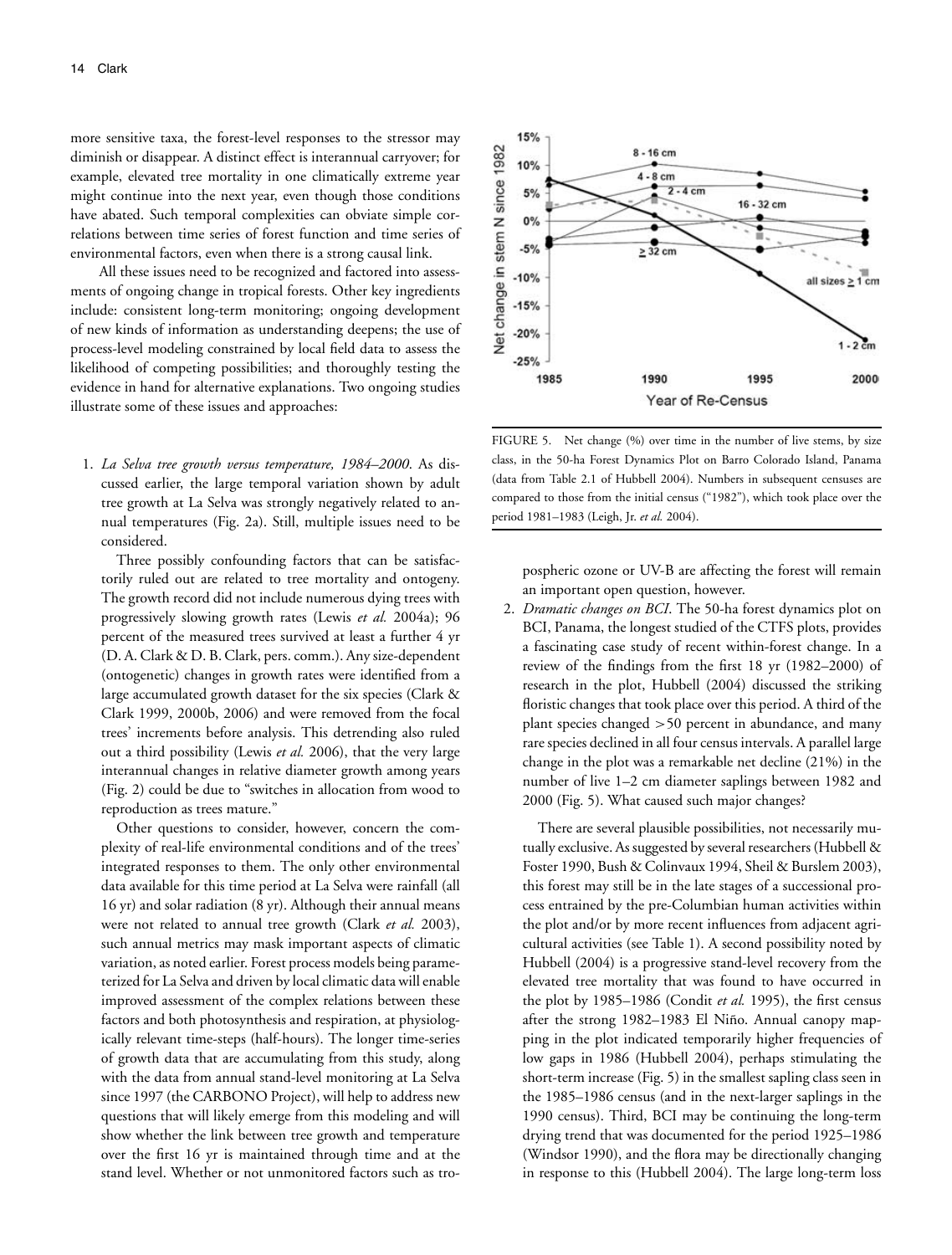more sensitive taxa, the forest-level responses to the stressor may diminish or disappear. A distinct effect is interannual carryover; for example, elevated tree mortality in one climatically extreme year might continue into the next year, even though those conditions have abated. Such temporal complexities can obviate simple correlations between time series of forest function and time series of environmental factors, even when there is a strong causal link.

All these issues need to be recognized and factored into assessments of ongoing change in tropical forests. Other key ingredients include: consistent long-term monitoring; ongoing development of new kinds of information as understanding deepens; the use of process-level modeling constrained by local field data to assess the likelihood of competing possibilities; and thoroughly testing the evidence in hand for alternative explanations. Two ongoing studies illustrate some of these issues and approaches:

1. *La Selva tree growth versus temperature, 1984–2000*. As discussed earlier, the large temporal variation shown by adult tree growth at La Selva was strongly negatively related to annual temperatures (Fig. 2a). Still, multiple issues need to be considered.

Three possibly confounding factors that can be satisfactorily ruled out are related to tree mortality and ontogeny. The growth record did not include numerous dying trees with progressively slowing growth rates (Lewis *et al.* 2004a); 96 percent of the measured trees survived at least a further 4 yr (D. A. Clark & D. B. Clark, pers. comm.). Any size-dependent (ontogenetic) changes in growth rates were identified from a large accumulated growth dataset for the six species (Clark & Clark 1999, 2000b, 2006) and were removed from the focal trees' increments before analysis. This detrending also ruled out a third possibility (Lewis *et al.* 2006), that the very large interannual changes in relative diameter growth among years (Fig. 2) could be due to "switches in allocation from wood to reproduction as trees mature."

Other questions to consider, however, concern the complexity of real-life environmental conditions and of the trees' integrated responses to them. The only other environmental data available for this time period at La Selva were rainfall (all 16 yr) and solar radiation (8 yr). Although their annual means were not related to annual tree growth (Clark *et al.* 2003), such annual metrics may mask important aspects of climatic variation, as noted earlier. Forest process models being parameterized for La Selva and driven by local climatic data will enable improved assessment of the complex relations between these factors and both photosynthesis and respiration, at physiologically relevant time-steps (half-hours). The longer time-series of growth data that are accumulating from this study, along with the data from annual stand-level monitoring at La Selva since 1997 (the CARBONO Project), will help to address new questions that will likely emerge from this modeling and will show whether the link between tree growth and temperature over the first 16 yr is maintained through time and at the stand level. Whether or not unmonitored factors such as tro-



FIGURE 5. Net change (%) over time in the number of live stems, by size class, in the 50-ha Forest Dynamics Plot on Barro Colorado Island, Panama (data from Table 2.1 of Hubbell 2004). Numbers in subsequent censuses are compared to those from the initial census ("1982"), which took place over the period 1981–1983 (Leigh, Jr. *et al.* 2004).

pospheric ozone or UV-B are affecting the forest will remain an important open question, however.

2. *Dramatic changes on BCI*. The 50-ha forest dynamics plot on BCI, Panama, the longest studied of the CTFS plots, provides a fascinating case study of recent within-forest change. In a review of the findings from the first 18 yr (1982–2000) of research in the plot, Hubbell (2004) discussed the striking floristic changes that took place over this period. A third of the plant species changed >50 percent in abundance, and many rare species declined in all four census intervals. A parallel large change in the plot was a remarkable net decline (21%) in the number of live 1–2 cm diameter saplings between 1982 and 2000 (Fig. 5). What caused such major changes?

There are several plausible possibilities, not necessarily mutually exclusive. As suggested by several researchers (Hubbell & Foster 1990, Bush & Colinvaux 1994, Sheil & Burslem 2003), this forest may still be in the late stages of a successional process entrained by the pre-Columbian human activities within the plot and/or by more recent influences from adjacent agricultural activities (see Table 1). A second possibility noted by Hubbell (2004) is a progressive stand-level recovery from the elevated tree mortality that was found to have occurred in the plot by 1985–1986 (Condit *et al.* 1995), the first census after the strong 1982–1983 El Niño. Annual canopy mapping in the plot indicated temporarily higher frequencies of low gaps in 1986 (Hubbell 2004), perhaps stimulating the short-term increase (Fig. 5) in the smallest sapling class seen in the 1985–1986 census (and in the next-larger saplings in the 1990 census). Third, BCI may be continuing the long-term drying trend that was documented for the period 1925–1986 (Windsor 1990), and the flora may be directionally changing in response to this (Hubbell 2004). The large long-term loss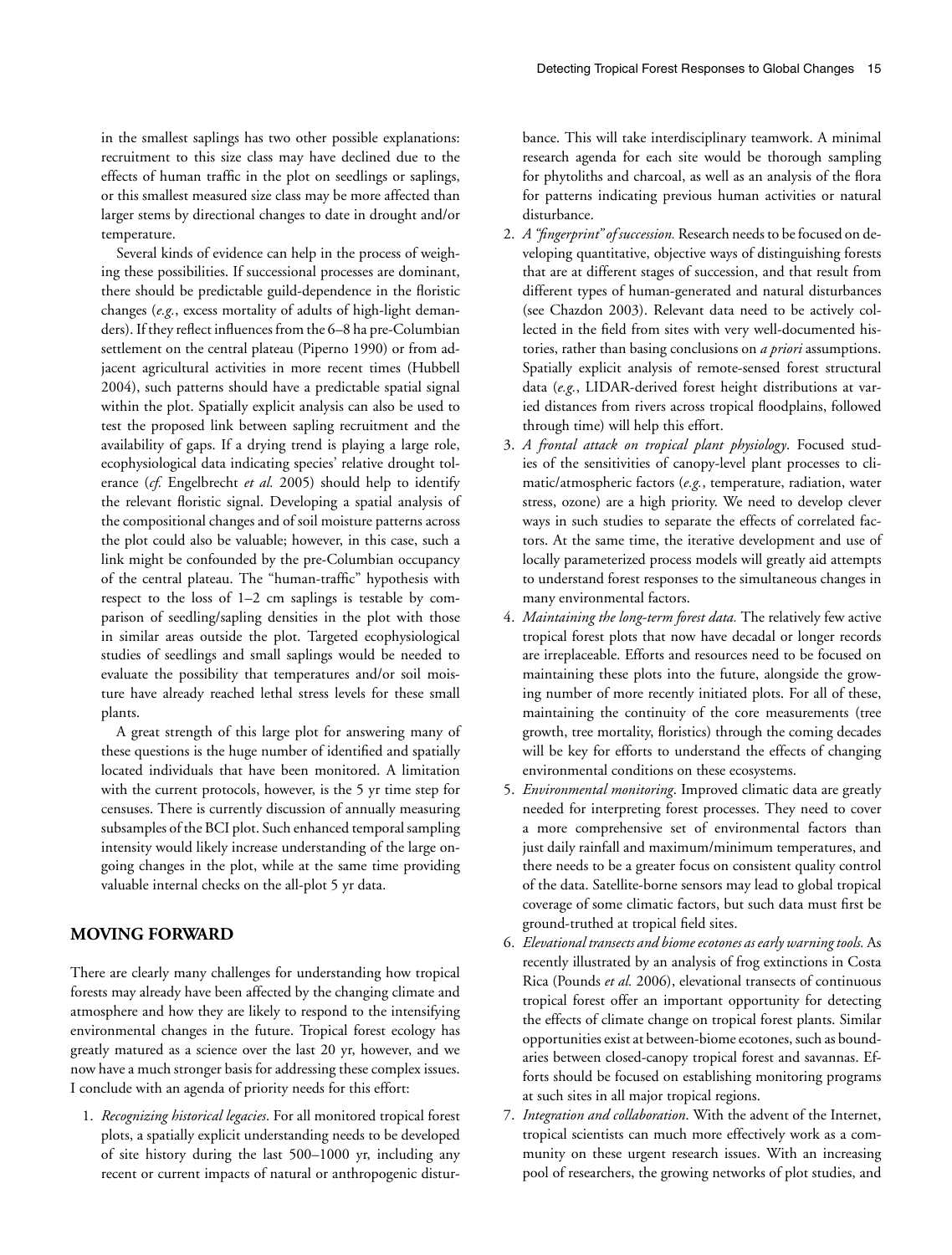in the smallest saplings has two other possible explanations: recruitment to this size class may have declined due to the effects of human traffic in the plot on seedlings or saplings, or this smallest measured size class may be more affected than larger stems by directional changes to date in drought and/or temperature.

Several kinds of evidence can help in the process of weighing these possibilities. If successional processes are dominant, there should be predictable guild-dependence in the floristic changes (*e.g.*, excess mortality of adults of high-light demanders). If they reflect influences from the 6–8 ha pre-Columbian settlement on the central plateau (Piperno 1990) or from adjacent agricultural activities in more recent times (Hubbell 2004), such patterns should have a predictable spatial signal within the plot. Spatially explicit analysis can also be used to test the proposed link between sapling recruitment and the availability of gaps. If a drying trend is playing a large role, ecophysiological data indicating species' relative drought tolerance (*cf.* Engelbrecht *et al.* 2005) should help to identify the relevant floristic signal. Developing a spatial analysis of the compositional changes and of soil moisture patterns across the plot could also be valuable; however, in this case, such a link might be confounded by the pre-Columbian occupancy of the central plateau. The "human-traffic" hypothesis with respect to the loss of 1–2 cm saplings is testable by comparison of seedling/sapling densities in the plot with those in similar areas outside the plot. Targeted ecophysiological studies of seedlings and small saplings would be needed to evaluate the possibility that temperatures and/or soil moisture have already reached lethal stress levels for these small plants.

A great strength of this large plot for answering many of these questions is the huge number of identified and spatially located individuals that have been monitored. A limitation with the current protocols, however, is the 5 yr time step for censuses. There is currently discussion of annually measuring subsamples of the BCI plot. Such enhanced temporal sampling intensity would likely increase understanding of the large ongoing changes in the plot, while at the same time providing valuable internal checks on the all-plot 5 yr data.

## **MOVING FORWARD**

There are clearly many challenges for understanding how tropical forests may already have been affected by the changing climate and atmosphere and how they are likely to respond to the intensifying environmental changes in the future. Tropical forest ecology has greatly matured as a science over the last 20 yr, however, and we now have a much stronger basis for addressing these complex issues. I conclude with an agenda of priority needs for this effort:

1. *Recognizing historical legacies*. For all monitored tropical forest plots, a spatially explicit understanding needs to be developed of site history during the last 500–1000 yr, including any recent or current impacts of natural or anthropogenic disturbance. This will take interdisciplinary teamwork. A minimal research agenda for each site would be thorough sampling for phytoliths and charcoal, as well as an analysis of the flora for patterns indicating previous human activities or natural disturbance.

- 2. *A "fingerprint" of succession.* Research needs to be focused on developing quantitative, objective ways of distinguishing forests that are at different stages of succession, and that result from different types of human-generated and natural disturbances (see Chazdon 2003). Relevant data need to be actively collected in the field from sites with very well-documented histories, rather than basing conclusions on *a priori* assumptions. Spatially explicit analysis of remote-sensed forest structural data (*e.g.*, LIDAR-derived forest height distributions at varied distances from rivers across tropical floodplains, followed through time) will help this effort.
- 3. *A frontal attack on tropical plant physiology*. Focused studies of the sensitivities of canopy-level plant processes to climatic/atmospheric factors (*e.g.*, temperature, radiation, water stress, ozone) are a high priority. We need to develop clever ways in such studies to separate the effects of correlated factors. At the same time, the iterative development and use of locally parameterized process models will greatly aid attempts to understand forest responses to the simultaneous changes in many environmental factors.
- 4. *Maintaining the long-term forest data.* The relatively few active tropical forest plots that now have decadal or longer records are irreplaceable. Efforts and resources need to be focused on maintaining these plots into the future, alongside the growing number of more recently initiated plots. For all of these, maintaining the continuity of the core measurements (tree growth, tree mortality, floristics) through the coming decades will be key for efforts to understand the effects of changing environmental conditions on these ecosystems.
- 5. *Environmental monitoring*. Improved climatic data are greatly needed for interpreting forest processes. They need to cover a more comprehensive set of environmental factors than just daily rainfall and maximum/minimum temperatures, and there needs to be a greater focus on consistent quality control of the data. Satellite-borne sensors may lead to global tropical coverage of some climatic factors, but such data must first be ground-truthed at tropical field sites.
- 6. *Elevational transects and biome ecotones as early warning tools.* As recently illustrated by an analysis of frog extinctions in Costa Rica (Pounds *et al.* 2006), elevational transects of continuous tropical forest offer an important opportunity for detecting the effects of climate change on tropical forest plants. Similar opportunities exist at between-biome ecotones, such as boundaries between closed-canopy tropical forest and savannas. Efforts should be focused on establishing monitoring programs at such sites in all major tropical regions.
- 7. *Integration and collaboration*. With the advent of the Internet, tropical scientists can much more effectively work as a community on these urgent research issues. With an increasing pool of researchers, the growing networks of plot studies, and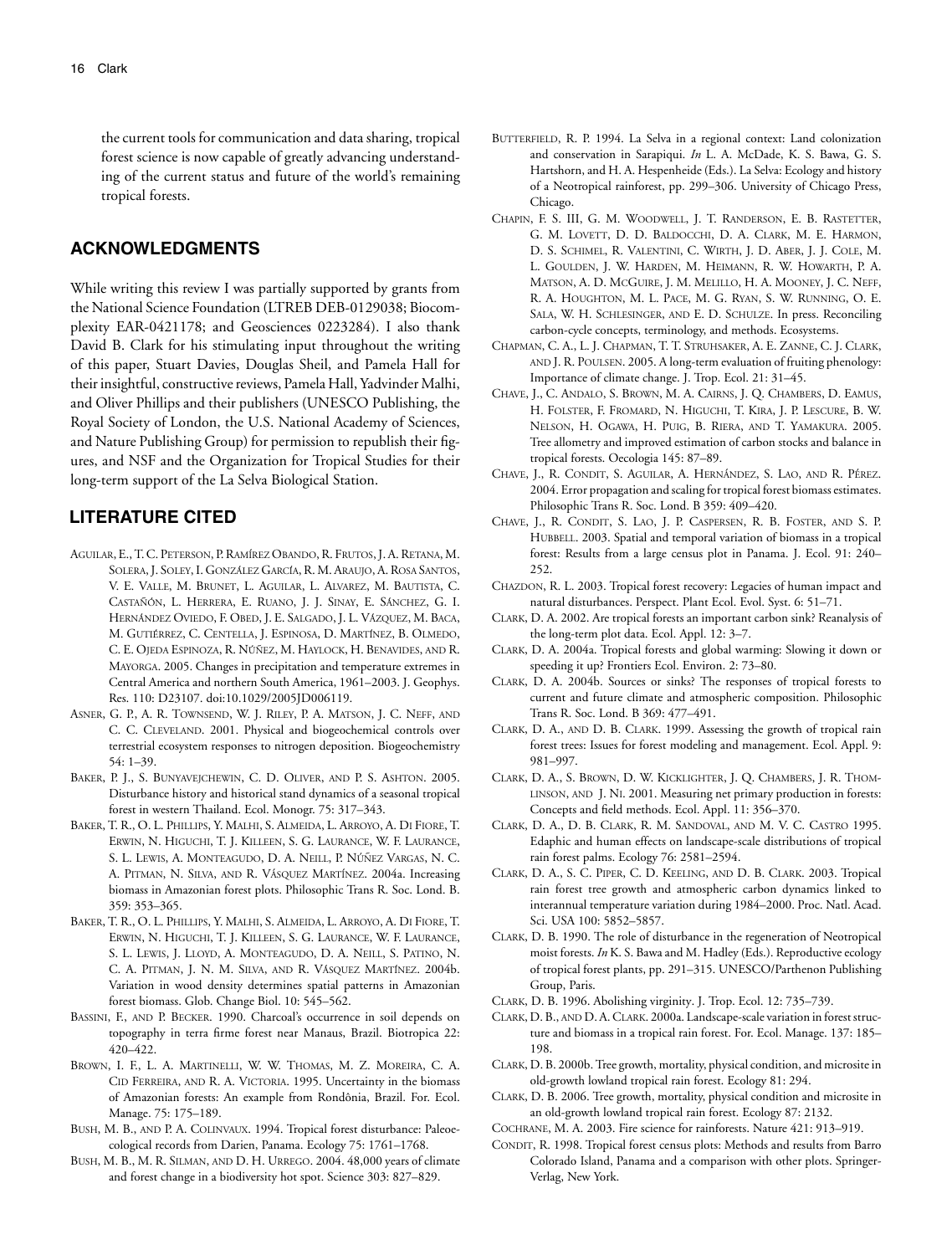the current tools for communication and data sharing, tropical forest science is now capable of greatly advancing understanding of the current status and future of the world's remaining tropical forests.

## **ACKNOWLEDGMENTS**

While writing this review I was partially supported by grants from the National Science Foundation (LTREB DEB-0129038; Biocomplexity EAR-0421178; and Geosciences 0223284). I also thank David B. Clark for his stimulating input throughout the writing of this paper, Stuart Davies, Douglas Sheil, and Pamela Hall for their insightful, constructive reviews, Pamela Hall, Yadvinder Malhi, and Oliver Phillips and their publishers (UNESCO Publishing, the Royal Society of London, the U.S. National Academy of Sciences, and Nature Publishing Group) for permission to republish their figures, and NSF and the Organization for Tropical Studies for their long-term support of the La Selva Biological Station.

# **LITERATURE CITED**

- AGUILAR, E., T. C. PETERSON, P. RAMÍREZ OBANDO, R. FRUTOS, J. A. RETANA, M. SOLERA, J. SOLEY, I. GONZÁLEZ GARCÍA, R. M. ARAUJO, A. ROSA SANTOS, V. E. VALLE, M. BRUNET, L. AGUILAR, L. ALVAREZ, M. BAUTISTA, C. CASTAÑÓN, L. HERRERA, E. RUANO, J. J. SINAY, E. SÁNCHEZ, G. I. HERNÁNDEZ OVIEDO, F. OBED, J. E. SALGADO, J. L. VÁZQUEZ, M. BACA, M. GUTIÉRREZ, C. CENTELLA, J. ESPINOSA, D. MARTÍNEZ, B. OLMEDO, C. E. OJEDA ESPINOZA, R. NÚÑEZ, M. HAYLOCK, H. BENAVIDES, AND R. MAYORGA. 2005. Changes in precipitation and temperature extremes in Central America and northern South America, 1961–2003. J. Geophys. Res. 110: D23107. doi:10.1029/2005JD006119.
- ASNER, G. P., A. R. TOWNSEND, W. J. RILEY, P. A. MATSON, J. C. NEFF, AND C. C. CLEVELAND. 2001. Physical and biogeochemical controls over terrestrial ecosystem responses to nitrogen deposition. Biogeochemistry 54: 1–39.
- BAKER, P. J., S. BUNYAVEJCHEWIN, C. D. OLIVER, AND P. S. ASHTON. 2005. Disturbance history and historical stand dynamics of a seasonal tropical forest in western Thailand. Ecol. Monogr. 75: 317–343.
- BAKER, T. R., O. L. PHILLIPS, Y. MALHI, S. ALMEIDA, L. ARROYO, A. DI FIORE, T. ERWIN, N. HIGUCHI, T. J. KILLEEN, S. G. LAURANCE, W. F. LAURANCE, S. L. LEWIS, A. MONTEAGUDO, D. A. NEILL, P. NÚÑEZ VARGAS, N. C. A. PITMAN, N. SILVA, AND R. VASQUEZ MARTÍNEZ. 2004a. Increasing biomass in Amazonian forest plots. Philosophic Trans R. Soc. Lond. B. 359: 353–365.
- BAKER, T. R., O. L. PHILLIPS, Y. MALHI, S. ALMEIDA, L. ARROYO, A. DI FIORE, T. ERWIN, N. HIGUCHI, T. J. KILLEEN, S. G. LAURANCE, W. F. LAURANCE, S. L. LEWIS, J. LLOYD, A. MONTEAGUDO, D. A. NEILL, S. PATINO, N. C. A. PITMAN, J. N. M. SILVA, AND R. VÁSQUEZ MARTÍNEZ. 2004b. Variation in wood density determines spatial patterns in Amazonian forest biomass. Glob. Change Biol. 10: 545–562.
- BASSINI, F., AND P. BECKER. 1990. Charcoal's occurrence in soil depends on topography in terra firme forest near Manaus, Brazil. Biotropica 22: 420–422.
- BROWN, I. F., L. A. MARTINELLI, W. W. THOMAS, M. Z. MOREIRA, C. A. CID FERREIRA, AND R. A. VICTORIA. 1995. Uncertainty in the biomass of Amazonian forests: An example from Rondonia, Brazil. For. Ecol. ˆ Manage. 75: 175–189.
- BUSH, M. B., AND P. A. COLINVAUX. 1994. Tropical forest disturbance: Paleoecological records from Darien, Panama. Ecology 75: 1761–1768.
- BUSH, M. B., M. R. SILMAN, AND D. H. URREGO. 2004. 48,000 years of climate and forest change in a biodiversity hot spot. Science 303: 827–829.
- BUTTERFIELD, R. P. 1994. La Selva in a regional context: Land colonization and conservation in Sarapiqui. *In* L. A. McDade, K. S. Bawa, G. S. Hartshorn, and H. A. Hespenheide (Eds.). La Selva: Ecology and history of a Neotropical rainforest, pp. 299–306. University of Chicago Press, Chicago.
- CHAPIN, F. S. III, G. M. WOODWELL, J. T. RANDERSON, E. B. RASTETTER, G. M. LOVETT, D. D. BALDOCCHI, D. A. CLARK, M. E. HARMON, D. S. SCHIMEL, R. VALENTINI, C. WIRTH, J. D. ABER, J. J. COLE, M. L. GOULDEN, J. W. HARDEN, M. HEIMANN, R. W. HOWARTH, P. A. MATSON, A. D. MCGUIRE, J. M. MELILLO, H. A. MOONEY, J. C. NEFF, R. A. HOUGHTON, M. L. PACE, M. G. RYAN, S. W. RUNNING, O. E. SALA, W. H. SCHLESINGER, AND E. D. SCHULZE. In press. Reconciling carbon-cycle concepts, terminology, and methods. Ecosystems.
- CHAPMAN, C. A., L. J. CHAPMAN, T. T. STRUHSAKER, A. E. ZANNE, C. J. CLARK, AND J. R. POULSEN. 2005. A long-term evaluation of fruiting phenology: Importance of climate change. J. Trop. Ecol. 21: 31–45.
- CHAVE, J., C. ANDALO, S. BROWN, M. A. CAIRNS, J. Q. CHAMBERS, D. EAMUS, H. FOLSTER, F. FROMARD, N. HIGUCHI, T. KIRA, J. P. LESCURE, B. W. NELSON, H. OGAWA, H. PUIG, B. RIERA, AND T. YAMAKURA. 2005. Tree allometry and improved estimation of carbon stocks and balance in tropical forests. Oecologia 145: 87–89.
- CHAVE, J., R. CONDIT, S. AGUILAR, A. HERNÁNDEZ, S. LAO, AND R. PÉREZ. 2004. Error propagation and scaling for tropical forest biomass estimates. Philosophic Trans R. Soc. Lond. B 359: 409–420.
- CHAVE, J., R. CONDIT, S. LAO, J. P. CASPERSEN, R. B. FOSTER, AND S. P. HUBBELL. 2003. Spatial and temporal variation of biomass in a tropical forest: Results from a large census plot in Panama. J. Ecol. 91: 240– 252.
- CHAZDON, R. L. 2003. Tropical forest recovery: Legacies of human impact and natural disturbances. Perspect. Plant Ecol. Evol. Syst. 6: 51–71.
- CLARK, D. A. 2002. Are tropical forests an important carbon sink? Reanalysis of the long-term plot data. Ecol. Appl. 12: 3–7.
- CLARK, D. A. 2004a. Tropical forests and global warming: Slowing it down or speeding it up? Frontiers Ecol. Environ. 2: 73–80.
- CLARK, D. A. 2004b. Sources or sinks? The responses of tropical forests to current and future climate and atmospheric composition. Philosophic Trans R. Soc. Lond. B 369: 477–491.
- CLARK, D. A., AND D. B. CLARK. 1999. Assessing the growth of tropical rain forest trees: Issues for forest modeling and management. Ecol. Appl. 9: 981–997.
- CLARK, D. A., S. BROWN, D. W. KICKLIGHTER, J. Q. CHAMBERS, J. R. THOM-LINSON, AND J. NI. 2001. Measuring net primary production in forests: Concepts and field methods. Ecol. Appl. 11: 356–370.
- CLARK, D. A., D. B. CLARK, R. M. SANDOVAL, AND M. V. C. CASTRO 1995. Edaphic and human effects on landscape-scale distributions of tropical rain forest palms. Ecology 76: 2581–2594.
- CLARK, D. A., S. C. PIPER, C. D. KEELING, AND D. B. CLARK. 2003. Tropical rain forest tree growth and atmospheric carbon dynamics linked to interannual temperature variation during 1984–2000. Proc. Natl. Acad. Sci. USA 100: 5852–5857.
- CLARK, D. B. 1990. The role of disturbance in the regeneration of Neotropical moist forests. *In* K. S. Bawa and M. Hadley (Eds.). Reproductive ecology of tropical forest plants, pp. 291–315. UNESCO/Parthenon Publishing Group, Paris.
- CLARK, D. B. 1996. Abolishing virginity. J. Trop. Ecol. 12: 735–739.
- CLARK, D. B., AND D. A. CLARK. 2000a. Landscape-scale variation in forest structure and biomass in a tropical rain forest. For. Ecol. Manage. 137: 185– 198.
- CLARK, D. B. 2000b. Tree growth, mortality, physical condition, and microsite in old-growth lowland tropical rain forest. Ecology 81: 294.
- CLARK, D. B. 2006. Tree growth, mortality, physical condition and microsite in an old-growth lowland tropical rain forest. Ecology 87: 2132.
- COCHRANE, M. A. 2003. Fire science for rainforests. Nature 421: 913–919.
- CONDIT, R. 1998. Tropical forest census plots: Methods and results from Barro Colorado Island, Panama and a comparison with other plots. Springer-Verlag, New York.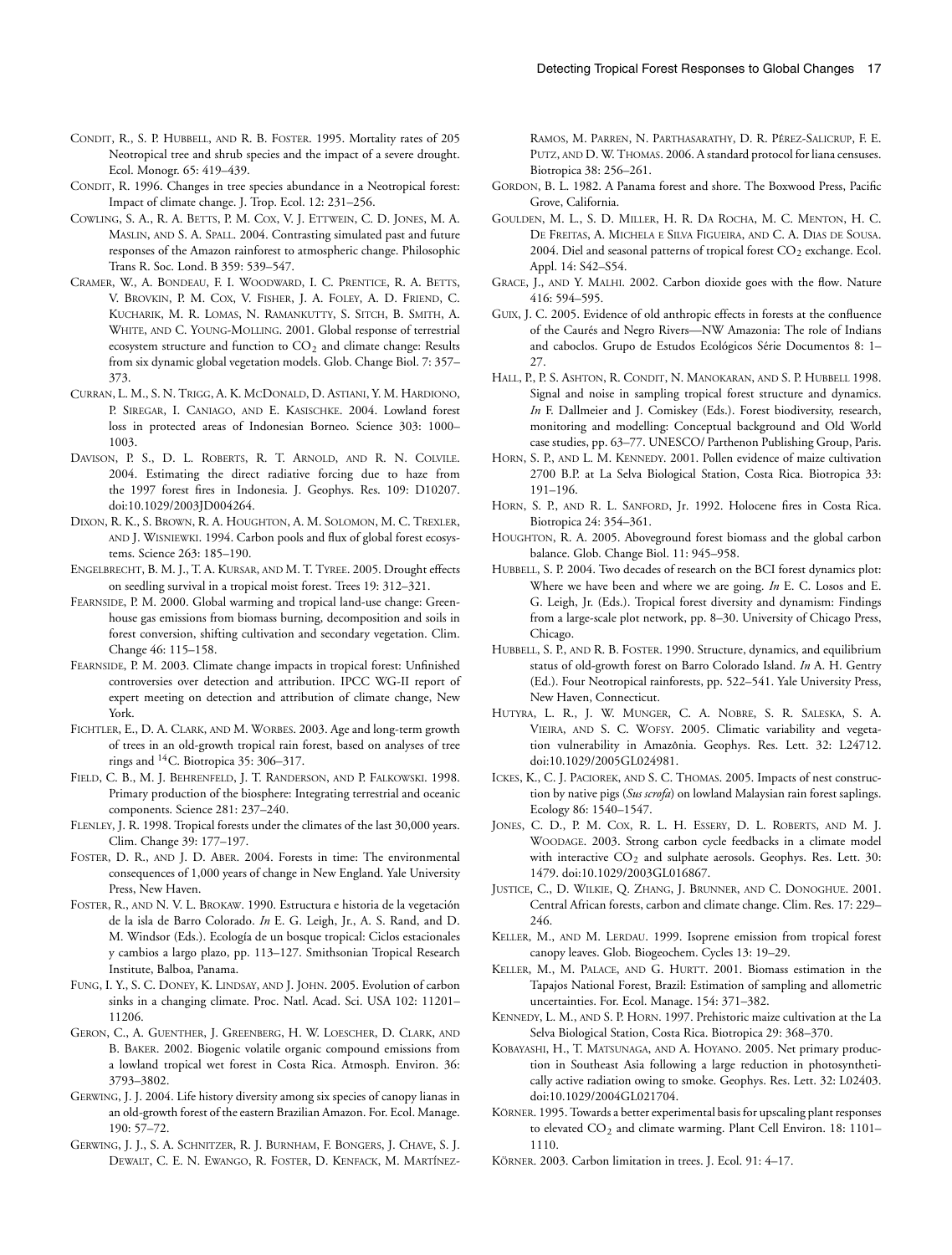- CONDIT, R., S. P. HUBBELL, AND R. B. FOSTER. 1995. Mortality rates of 205 Neotropical tree and shrub species and the impact of a severe drought. Ecol. Monogr. 65: 419–439.
- CONDIT, R. 1996. Changes in tree species abundance in a Neotropical forest: Impact of climate change. J. Trop. Ecol. 12: 231–256.
- COWLING, S. A., R. A. BETTS, P. M. COX, V. J. ETTWEIN, C. D. JONES, M. A. MASLIN, AND S. A. SPALL. 2004. Contrasting simulated past and future responses of the Amazon rainforest to atmospheric change. Philosophic Trans R. Soc. Lond. B 359: 539–547.
- CRAMER, W., A. BONDEAU, F. I. WOODWARD, I. C. PRENTICE, R. A. BETTS, V. BROVKIN, P. M. COX, V. FISHER, J. A. FOLEY, A. D. FRIEND, C. KUCHARIK, M. R. LOMAS, N. RAMANKUTTY, S. SITCH, B. SMITH, A. WHITE, AND C. YOUNG-MOLLING. 2001. Global response of terrestrial ecosystem structure and function to CO<sub>2</sub> and climate change: Results from six dynamic global vegetation models. Glob. Change Biol. 7: 357– 373.
- CURRAN, L. M., S. N. TRIGG, A. K. MCDONALD, D. ASTIANI, Y. M. HARDIONO, P. SIREGAR, I. CANIAGO, AND E. KASISCHKE. 2004. Lowland forest loss in protected areas of Indonesian Borneo. Science 303: 1000– 1003.
- DAVISON, P. S., D. L. ROBERTS, R. T. ARNOLD, AND R. N. COLVILE. 2004. Estimating the direct radiative forcing due to haze from the 1997 forest fires in Indonesia. J. Geophys. Res. 109: D10207. doi:10.1029/2003JD004264.
- DIXON, R. K., S. BROWN, R. A. HOUGHTON, A. M. SOLOMON, M. C. TREXLER, AND J. WISNIEWKI. 1994. Carbon pools and flux of global forest ecosystems. Science 263: 185–190.
- ENGELBRECHT, B. M. J., T. A. KURSAR, AND M. T. TYREE. 2005. Drought effects on seedling survival in a tropical moist forest. Trees 19: 312–321.
- FEARNSIDE, P. M. 2000. Global warming and tropical land-use change: Greenhouse gas emissions from biomass burning, decomposition and soils in forest conversion, shifting cultivation and secondary vegetation. Clim. Change 46: 115–158.
- FEARNSIDE, P. M. 2003. Climate change impacts in tropical forest: Unfinished controversies over detection and attribution. IPCC WG-II report of expert meeting on detection and attribution of climate change, New York.
- FICHTLER, E., D. A. CLARK, AND M. WORBES. 2003. Age and long-term growth of trees in an old-growth tropical rain forest, based on analyses of tree rings and 14C. Biotropica 35: 306–317.
- FIELD, C. B., M. J. BEHRENFELD, J. T. RANDERSON, AND P. FALKOWSKI. 1998. Primary production of the biosphere: Integrating terrestrial and oceanic components. Science 281: 237–240.
- FLENLEY, J. R. 1998. Tropical forests under the climates of the last 30,000 years. Clim. Change 39: 177–197.
- FOSTER, D. R., AND J. D. ABER. 2004. Forests in time: The environmental consequences of 1,000 years of change in New England. Yale University Press, New Haven.
- FOSTER, R., AND N. V. L. BROKAW. 1990. Estructura e historia de la vegetacion´ de la isla de Barro Colorado. *In* E. G. Leigh, Jr., A. S. Rand, and D. M. Windsor (Eds.). Ecología de un bosque tropical: Ciclos estacionales y cambios a largo plazo, pp. 113–127. Smithsonian Tropical Research Institute, Balboa, Panama.
- FUNG, I. Y., S. C. DONEY, K. LINDSAY, AND J. JOHN. 2005. Evolution of carbon sinks in a changing climate. Proc. Natl. Acad. Sci. USA 102: 11201– 11206.
- GERON, C., A. GUENTHER, J. GREENBERG, H. W. LOESCHER, D. CLARK, AND B. BAKER. 2002. Biogenic volatile organic compound emissions from a lowland tropical wet forest in Costa Rica. Atmosph. Environ. 36: 3793–3802.
- GERWING, J. J. 2004. Life history diversity among six species of canopy lianas in an old-growth forest of the eastern Brazilian Amazon. For. Ecol. Manage. 190: 57–72.
- GERWING, J. J., S. A. SCHNITZER, R. J. BURNHAM, F. BONGERS, J. CHAVE, S. J. DEWALT, C. E. N. EWANGO, R. FOSTER, D. KENFACK, M. MARTÍNEZ-

RAMOS, M. PARREN, N. PARTHASARATHY, D. R. PÉREZ-SALICRUP, F. E. PUTZ, AND D. W. THOMAS. 2006. A standard protocol for liana censuses. Biotropica 38: 256–261.

- GORDON, B. L. 1982. A Panama forest and shore. The Boxwood Press, Pacific Grove, California.
- GOULDEN, M. L., S. D. MILLER, H. R. DA ROCHA, M. C. MENTON, H. C. DE FREITAS, A. MICHELA E SILVA FIGUEIRA, AND C. A. DIAS DE SOUSA. 2004. Diel and seasonal patterns of tropical forest  $CO<sub>2</sub>$  exchange. Ecol. Appl. 14: S42–S54.
- GRACE, J., AND Y. MALHI. 2002. Carbon dioxide goes with the flow. Nature 416: 594–595.
- GUIX, J. C. 2005. Evidence of old anthropic effects in forests at the confluence of the Caures and Negro Rivers—NW Amazonia: The role of Indians ´ and caboclos. Grupo de Estudos Ecológicos Série Documentos 8: 1-27.
- HALL, P., P. S. ASHTON, R. CONDIT, N. MANOKARAN, AND S. P. HUBBELL 1998. Signal and noise in sampling tropical forest structure and dynamics. *In* F. Dallmeier and J. Comiskey (Eds.). Forest biodiversity, research, monitoring and modelling: Conceptual background and Old World case studies, pp. 63–77. UNESCO/ Parthenon Publishing Group, Paris.
- HORN, S. P., AND L. M. KENNEDY. 2001. Pollen evidence of maize cultivation 2700 B.P. at La Selva Biological Station, Costa Rica. Biotropica 33: 191–196.
- HORN, S. P., AND R. L. SANFORD, Jr. 1992. Holocene fires in Costa Rica. Biotropica 24: 354–361.
- HOUGHTON, R. A. 2005. Aboveground forest biomass and the global carbon balance. Glob. Change Biol. 11: 945–958.
- HUBBELL, S. P. 2004. Two decades of research on the BCI forest dynamics plot: Where we have been and where we are going. *In* E. C. Losos and E. G. Leigh, Jr. (Eds.). Tropical forest diversity and dynamism: Findings from a large-scale plot network, pp. 8–30. University of Chicago Press, Chicago.
- HUBBELL, S. P., AND R. B. FOSTER. 1990. Structure, dynamics, and equilibrium status of old-growth forest on Barro Colorado Island. *In* A. H. Gentry (Ed.). Four Neotropical rainforests, pp. 522–541. Yale University Press, New Haven, Connecticut.
- HUTYRA, L. R., J. W. MUNGER, C. A. NOBRE, S. R. SALESKA, S. A. VIEIRA, AND S. C. WOFSY. 2005. Climatic variability and vegetation vulnerability in Amazônia. Geophys. Res. Lett. 32: L24712. doi:10.1029/2005GL024981.
- ICKES, K., C. J. PACIOREK, AND S. C. THOMAS. 2005. Impacts of nest construction by native pigs (*Sus scrofa*) on lowland Malaysian rain forest saplings. Ecology 86: 1540–1547.
- JONES, C. D., P. M. COX, R. L. H. ESSERY, D. L. ROBERTS, AND M. J. WOODAGE. 2003. Strong carbon cycle feedbacks in a climate model with interactive  $CO<sub>2</sub>$  and sulphate aerosols. Geophys. Res. Lett. 30: 1479. doi:10.1029/2003GL016867.
- JUSTICE, C., D. WILKIE, Q. ZHANG, J. BRUNNER, AND C. DONOGHUE. 2001. Central African forests, carbon and climate change. Clim. Res. 17: 229– 246.
- KELLER, M., AND M. LERDAU. 1999. Isoprene emission from tropical forest canopy leaves. Glob. Biogeochem. Cycles 13: 19–29.
- KELLER, M., M. PALACE, AND G. HURTT. 2001. Biomass estimation in the Tapajos National Forest, Brazil: Estimation of sampling and allometric uncertainties. For. Ecol. Manage. 154: 371–382.
- KENNEDY, L. M., AND S. P. HORN. 1997. Prehistoric maize cultivation at the La Selva Biological Station, Costa Rica. Biotropica 29: 368–370.
- KOBAYASHI, H., T. MATSUNAGA, AND A. HOYANO. 2005. Net primary production in Southeast Asia following a large reduction in photosynthetically active radiation owing to smoke. Geophys. Res. Lett. 32: L02403. doi:10.1029/2004GL021704.
- KÖRNER. 1995. Towards a better experimental basis for upscaling plant responses to elevated CO<sub>2</sub> and climate warming. Plant Cell Environ. 18: 1101-1110.
- KÖRNER. 2003. Carbon limitation in trees. J. Ecol. 91: 4-17.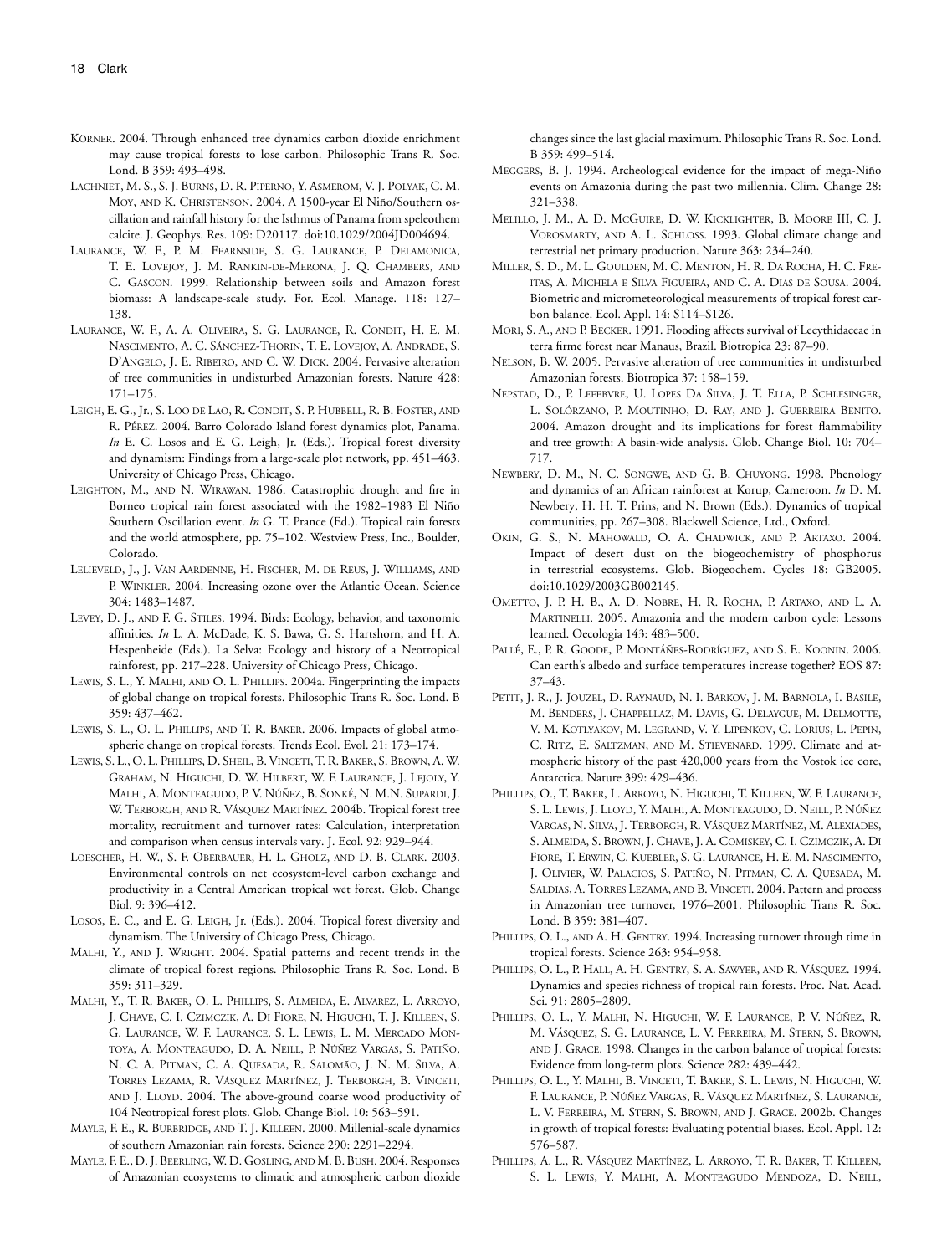- KÖRNER. 2004. Through enhanced tree dynamics carbon dioxide enrichment may cause tropical forests to lose carbon. Philosophic Trans R. Soc. Lond. B 359: 493–498.
- LACHNIET, M. S., S. J. BURNS, D. R. PIPERNO, Y. ASMEROM, V. J. POLYAK, C. M. MOY, AND K. CHRISTENSON. 2004. A 1500-year El Niño/Southern oscillation and rainfall history for the Isthmus of Panama from speleothem calcite. J. Geophys. Res. 109: D20117. doi:10.1029/2004JD004694.
- LAURANCE, W. F., P. M. FEARNSIDE, S. G. LAURANCE, P. DELAMONICA, T. E. LOVEJOY, J. M. RANKIN-DE-MERONA, J. Q. CHAMBERS, AND C. GASCON. 1999. Relationship between soils and Amazon forest biomass: A landscape-scale study. For. Ecol. Manage. 118: 127– 138.
- LAURANCE, W. F., A. A. OLIVEIRA, S. G. LAURANCE, R. CONDIT, H. E. M. NASCIMENTO, A. C. SÁNCHEZ-THORIN, T. E. LOVEJOY, A. ANDRADE, S. D'ANGELO, J. E. RIBEIRO, AND C. W. DICK. 2004. Pervasive alteration of tree communities in undisturbed Amazonian forests. Nature 428: 171–175.
- LEIGH, E. G., Jr., S. LOO DE LAO, R. CONDIT, S. P. HUBBELL, R. B. FOSTER, AND R. PÉREZ. 2004. Barro Colorado Island forest dynamics plot, Panama. *In* E. C. Losos and E. G. Leigh, Jr. (Eds.). Tropical forest diversity and dynamism: Findings from a large-scale plot network, pp. 451–463. University of Chicago Press, Chicago.
- LEIGHTON, M., AND N. WIRAWAN. 1986. Catastrophic drought and fire in Borneo tropical rain forest associated with the 1982-1983 El Niño Southern Oscillation event. *In* G. T. Prance (Ed.). Tropical rain forests and the world atmosphere, pp. 75–102. Westview Press, Inc., Boulder, Colorado.
- LELIEVELD, J., J. VAN AARDENNE, H. FISCHER, M. DE REUS, J. WILLIAMS, AND P. WINKLER. 2004. Increasing ozone over the Atlantic Ocean. Science 304: 1483–1487.
- LEVEY, D. J., AND F. G. STILES. 1994. Birds: Ecology, behavior, and taxonomic affinities. *In* L. A. McDade, K. S. Bawa, G. S. Hartshorn, and H. A. Hespenheide (Eds.). La Selva: Ecology and history of a Neotropical rainforest, pp. 217–228. University of Chicago Press, Chicago.
- LEWIS, S. L., Y. MALHI, AND O. L. PHILLIPS. 2004a. Fingerprinting the impacts of global change on tropical forests. Philosophic Trans R. Soc. Lond. B 359: 437–462.
- LEWIS, S. L., O. L. PHILLIPS, AND T. R. BAKER. 2006. Impacts of global atmospheric change on tropical forests. Trends Ecol. Evol. 21: 173–174.
- LEWIS, S. L., O. L. PHILLIPS, D. SHEIL, B. VINCETI, T. R. BAKER, S. BROWN, A. W. GRAHAM, N. HIGUCHI, D. W. HILBERT, W. F. LAURANCE, J. LEJOLY, Y. MALHI, A. MONTEAGUDO, P. V. NÚÑEZ, B. SONKÉ, N. M.N. SUPARDI, J. W. TERBORGH, AND R. VASQUEZ MARTÍNEZ. 2004b. Tropical forest tree mortality, recruitment and turnover rates: Calculation, interpretation and comparison when census intervals vary. J. Ecol. 92: 929–944.
- LOESCHER, H. W., S. F. OBERBAUER, H. L. GHOLZ, AND D. B. CLARK. 2003. Environmental controls on net ecosystem-level carbon exchange and productivity in a Central American tropical wet forest. Glob. Change Biol. 9: 396–412.
- LOSOS, E. C., and E. G. LEIGH, Jr. (Eds.). 2004. Tropical forest diversity and dynamism. The University of Chicago Press, Chicago.
- MALHI, Y., AND J. WRIGHT. 2004. Spatial patterns and recent trends in the climate of tropical forest regions. Philosophic Trans R. Soc. Lond. B 359: 311–329.
- MALHI, Y., T. R. BAKER, O. L. PHILLIPS, S. ALMEIDA, E. ALVAREZ, L. ARROYO, J. CHAVE, C. I. CZIMCZIK, A. DI FIORE, N. HIGUCHI, T. J. KILLEEN, S. G. LAURANCE, W. F. LAURANCE, S. L. LEWIS, L. M. MERCADO MON-TOYA, A. MONTEAGUDO, D. A. NEILL, P. NÚÑEZ VARGAS, S. PATIÑO, N. C. A. PITMAN, C. A. QUESADA, R. SALOMÃO, J. N. M. SILVA, A. TORRES LEZAMA, R. VÁSQUEZ MARTÍNEZ, J. TERBORGH, B. VINCETI, AND J. LLOYD. 2004. The above-ground coarse wood productivity of 104 Neotropical forest plots. Glob. Change Biol. 10: 563–591.
- MAYLE, F. E., R. BURBRIDGE, AND T. J. KILLEEN. 2000. Millenial-scale dynamics of southern Amazonian rain forests. Science 290: 2291–2294.
- MAYLE, F. E., D. J. BEERLING, W. D. GOSLING, AND M. B. BUSH. 2004. Responses of Amazonian ecosystems to climatic and atmospheric carbon dioxide

changes since the last glacial maximum. Philosophic Trans R. Soc. Lond. B 359: 499–514.

- MEGGERS, B. J. 1994. Archeological evidence for the impact of mega-Niño events on Amazonia during the past two millennia. Clim. Change 28: 321–338.
- MELILLO, J. M., A. D. MCGUIRE, D. W. KICKLIGHTER, B. MOORE III, C. J. VOROSMARTY, AND A. L. SCHLOSS. 1993. Global climate change and terrestrial net primary production. Nature 363: 234–240.
- MILLER, S. D., M. L. GOULDEN, M. C. MENTON, H. R. DA ROCHA, H. C. FRE-ITAS, A. MICHELA E SILVA FIGUEIRA, AND C. A. DIAS DE SOUSA. 2004. Biometric and micrometeorological measurements of tropical forest carbon balance. Ecol. Appl. 14: S114–S126.
- MORI, S. A., AND P. BECKER. 1991. Flooding affects survival of Lecythidaceae in terra firme forest near Manaus, Brazil. Biotropica 23: 87–90.
- NELSON, B. W. 2005. Pervasive alteration of tree communities in undisturbed Amazonian forests. Biotropica 37: 158–159.
- NEPSTAD, D., P. LEFEBVRE, U. LOPES DA SILVA, J. T. ELLA, P. SCHLESINGER, L. SOLÓRZANO, P. MOUTINHO, D. RAY, AND J. GUERREIRA BENITO. 2004. Amazon drought and its implications for forest flammability and tree growth: A basin-wide analysis. Glob. Change Biol. 10: 704– 717.
- NEWBERY, D. M., N. C. SONGWE, AND G. B. CHUYONG. 1998. Phenology and dynamics of an African rainforest at Korup, Cameroon. *In* D. M. Newbery, H. H. T. Prins, and N. Brown (Eds.). Dynamics of tropical communities, pp. 267–308. Blackwell Science, Ltd., Oxford.
- OKIN, G. S., N. MAHOWALD, O. A. CHADWICK, AND P. ARTAXO. 2004. Impact of desert dust on the biogeochemistry of phosphorus in terrestrial ecosystems. Glob. Biogeochem. Cycles 18: GB2005. doi:10.1029/2003GB002145.
- OMETTO, J. P. H. B., A. D. NOBRE, H. R. ROCHA, P. ARTAXO, AND L. A. MARTINELLI. 2005. Amazonia and the modern carbon cycle: Lessons learned. Oecologia 143: 483–500.
- PALLÉ, E., P. R. GOODE, P. MONTÁÑES-RODRÍGUEZ, AND S. E. KOONIN. 2006. Can earth's albedo and surface temperatures increase together? EOS 87: 37–43.
- PETIT, J. R., J. JOUZEL, D. RAYNAUD, N. I. BARKOV, J. M. BARNOLA, I. BASILE, M. BENDERS, J. CHAPPELLAZ, M. DAVIS, G. DELAYGUE, M. DELMOTTE, V. M. KOTLYAKOV, M. LEGRAND, V. Y. LIPENKOV, C. LORIUS, L. PEPIN, C. RITZ, E. SALTZMAN, AND M. STIEVENARD. 1999. Climate and atmospheric history of the past 420,000 years from the Vostok ice core, Antarctica. Nature 399: 429–436.
- PHILLIPS, O., T. BAKER, L. ARROYO, N. HIGUCHI, T. KILLEEN, W. F. LAURANCE, S. L. LEWIS, J. LLOYD, Y. MALHI, A. MONTEAGUDO, D. NEILL, P. NÚÑEZ VARGAS, N. SILVA, J. TERBORGH, R. VÁSQUEZ MARTÍNEZ, M. ALEXIADES, S. ALMEIDA, S. BROWN, J. CHAVE, J. A. COMISKEY, C. I. CZIMCZIK, A. DI FIORE, T. ERWIN, C. KUEBLER, S. G. LAURANCE, H. E. M. NASCIMENTO, J. OLIVIER, W. PALACIOS, S. PATIÑO, N. PITMAN, C. A. QUESADA, M. SALDIAS, A. TORRES LEZAMA, AND B. VINCETI. 2004. Pattern and process in Amazonian tree turnover, 1976–2001. Philosophic Trans R. Soc. Lond. B 359: 381–407.
- PHILLIPS, O. L., AND A. H. GENTRY. 1994. Increasing turnover through time in tropical forests. Science 263: 954–958.
- PHILLIPS, O. L., P. HALL, A. H. GENTRY, S. A. SAWYER, AND R. VÁSQUEZ. 1994. Dynamics and species richness of tropical rain forests. Proc. Nat. Acad. Sci. 91: 2805–2809.
- PHILLIPS, O. L., Y. MALHI, N. HIGUCHI, W. F. LAURANCE, P. V. NÚÑEZ, R. M. VASQUEZ, S. G. LAURANCE, L. V. FERREIRA, M. STERN, S. BROWN, AND J. GRACE. 1998. Changes in the carbon balance of tropical forests: Evidence from long-term plots. Science 282: 439–442.
- PHILLIPS, O. L., Y. MALHI, B. VINCETI, T. BAKER, S. L. LEWIS, N. HIGUCHI, W. F. LAURANCE, P. NÚÑEZ VARGAS, R. VÁSQUEZ MARTÍNEZ, S. LAURANCE, L. V. FERREIRA, M. STERN, S. BROWN, AND J. GRACE. 2002b. Changes in growth of tropical forests: Evaluating potential biases. Ecol. Appl. 12: 576–587.
- PHILLIPS, A. L., R. VÁSQUEZ MARTÍNEZ, L. ARROYO, T. R. BAKER, T. KILLEEN, S. L. LEWIS, Y. MALHI, A. MONTEAGUDO MENDOZA, D. NEILL,